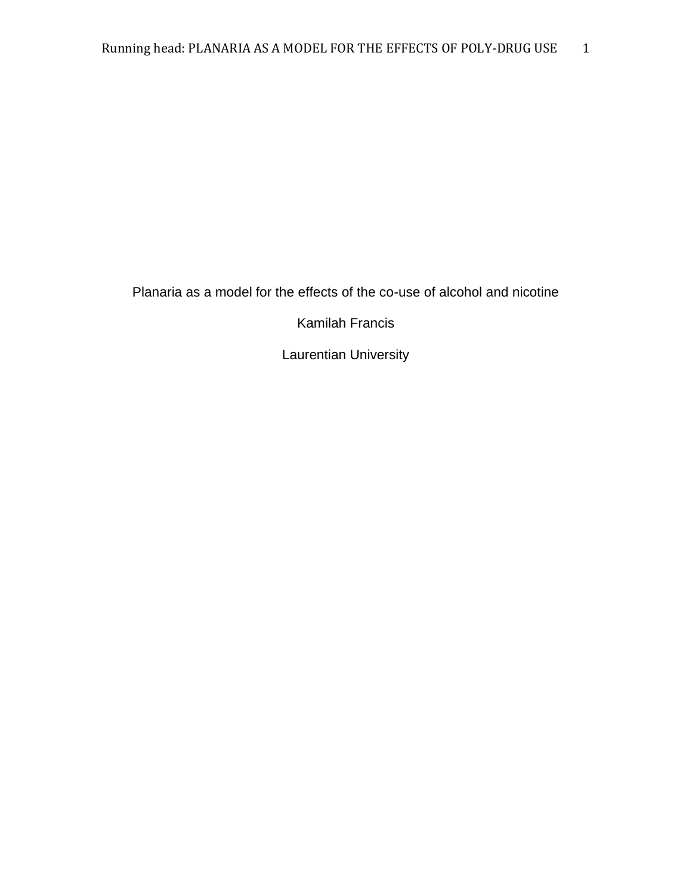Planaria as a model for the effects of the co-use of alcohol and nicotine

Kamilah Francis

Laurentian University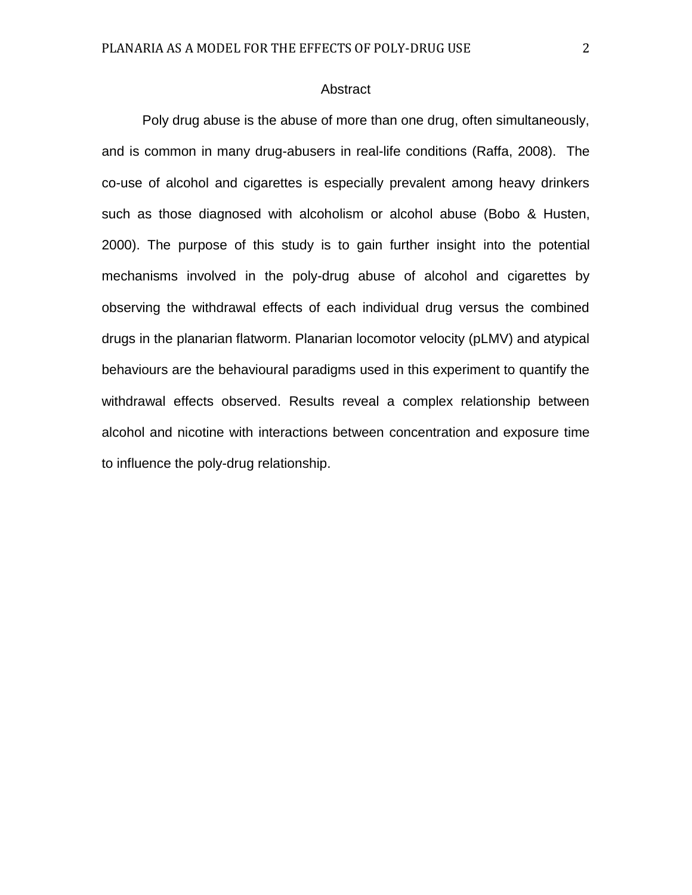# Abstract

Poly drug abuse is the abuse of more than one drug, often simultaneously, and is common in many drug-abusers in real-life conditions (Raffa, 2008). The co-use of alcohol and cigarettes is especially prevalent among heavy drinkers such as those diagnosed with alcoholism or alcohol abuse (Bobo & Husten, 2000). The purpose of this study is to gain further insight into the potential mechanisms involved in the poly-drug abuse of alcohol and cigarettes by observing the withdrawal effects of each individual drug versus the combined drugs in the planarian flatworm. Planarian locomotor velocity (pLMV) and atypical behaviours are the behavioural paradigms used in this experiment to quantify the withdrawal effects observed. Results reveal a complex relationship between alcohol and nicotine with interactions between concentration and exposure time to influence the poly-drug relationship.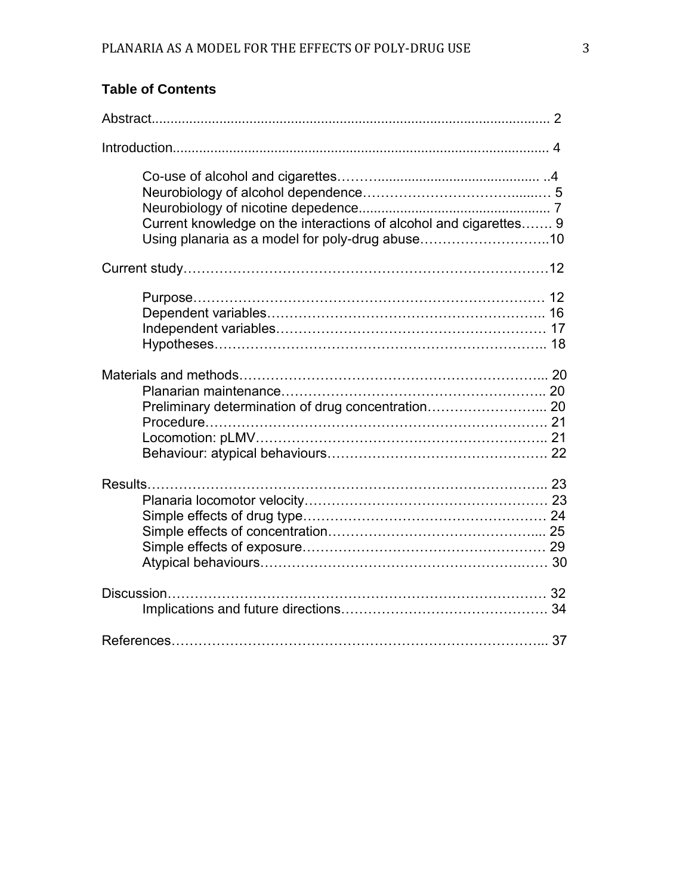| Current knowledge on the interactions of alcohol and cigarettes 9<br>Using planaria as a model for poly-drug abuse10 |  |
|----------------------------------------------------------------------------------------------------------------------|--|
|                                                                                                                      |  |
|                                                                                                                      |  |
| Preliminary determination of drug concentration 20                                                                   |  |
|                                                                                                                      |  |
|                                                                                                                      |  |
|                                                                                                                      |  |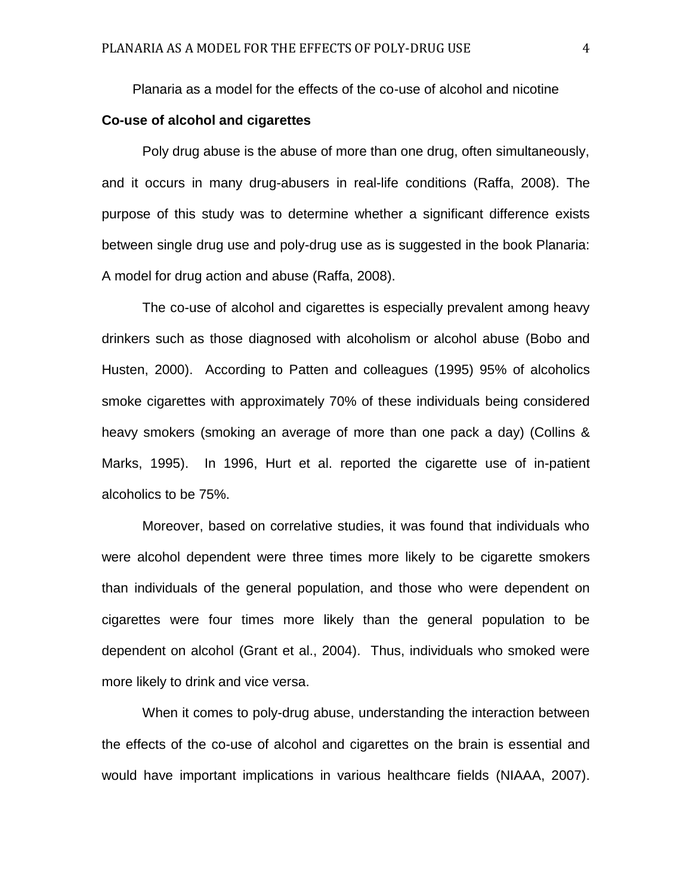Planaria as a model for the effects of the co-use of alcohol and nicotine

# **Co-use of alcohol and cigarettes**

Poly drug abuse is the abuse of more than one drug, often simultaneously, and it occurs in many drug-abusers in real-life conditions (Raffa, 2008). The purpose of this study was to determine whether a significant difference exists between single drug use and poly-drug use as is suggested in the book Planaria: A model for drug action and abuse (Raffa, 2008).

The co-use of alcohol and cigarettes is especially prevalent among heavy drinkers such as those diagnosed with alcoholism or alcohol abuse (Bobo and Husten, 2000). According to Patten and colleagues (1995) 95% of alcoholics smoke cigarettes with approximately 70% of these individuals being considered heavy smokers (smoking an average of more than one pack a day) (Collins & Marks, 1995). In 1996, Hurt et al. reported the cigarette use of in-patient alcoholics to be 75%.

Moreover, based on correlative studies, it was found that individuals who were alcohol dependent were three times more likely to be cigarette smokers than individuals of the general population, and those who were dependent on cigarettes were four times more likely than the general population to be dependent on alcohol (Grant et al., 2004). Thus, individuals who smoked were more likely to drink and vice versa.

When it comes to poly-drug abuse, understanding the interaction between the effects of the co-use of alcohol and cigarettes on the brain is essential and would have important implications in various healthcare fields (NIAAA, 2007).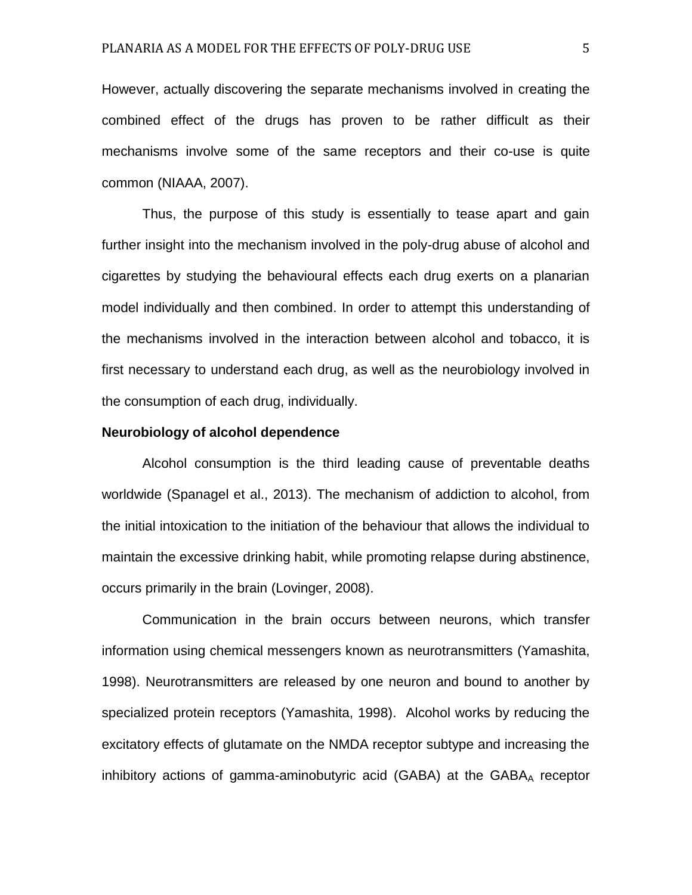However, actually discovering the separate mechanisms involved in creating the combined effect of the drugs has proven to be rather difficult as their mechanisms involve some of the same receptors and their co-use is quite common (NIAAA, 2007).

Thus, the purpose of this study is essentially to tease apart and gain further insight into the mechanism involved in the poly-drug abuse of alcohol and cigarettes by studying the behavioural effects each drug exerts on a planarian model individually and then combined. In order to attempt this understanding of the mechanisms involved in the interaction between alcohol and tobacco, it is first necessary to understand each drug, as well as the neurobiology involved in the consumption of each drug, individually.

#### **Neurobiology of alcohol dependence**

Alcohol consumption is the third leading cause of preventable deaths worldwide (Spanagel et al., 2013). The mechanism of addiction to alcohol, from the initial intoxication to the initiation of the behaviour that allows the individual to maintain the excessive drinking habit, while promoting relapse during abstinence, occurs primarily in the brain (Lovinger, 2008).

Communication in the brain occurs between neurons, which transfer information using chemical messengers known as neurotransmitters (Yamashita, 1998). Neurotransmitters are released by one neuron and bound to another by specialized protein receptors (Yamashita, 1998). Alcohol works by reducing the excitatory effects of glutamate on the NMDA receptor subtype and increasing the inhibitory actions of gamma-aminobutyric acid (GABA) at the GABAA receptor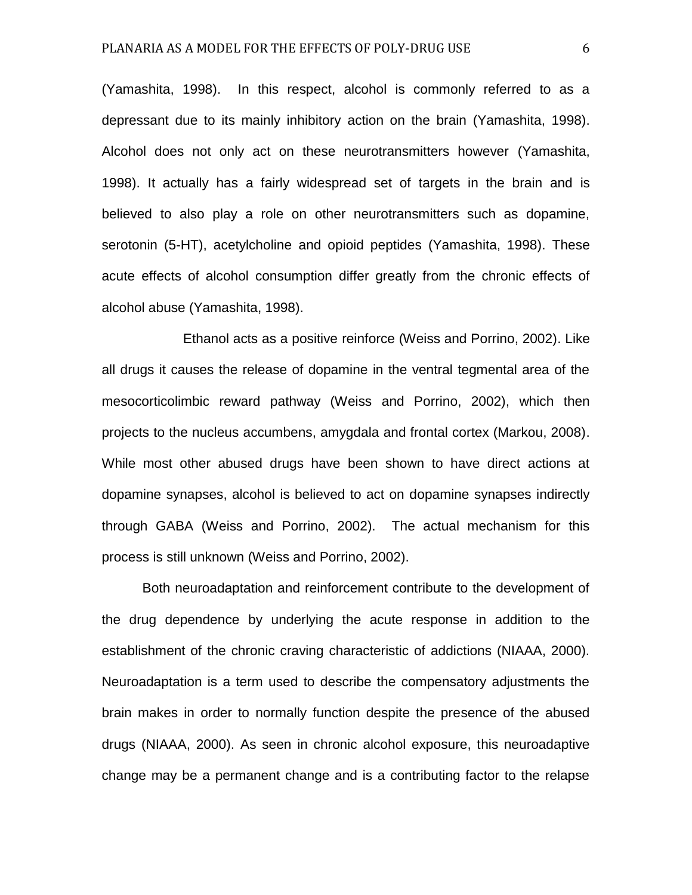(Yamashita, 1998). In this respect, alcohol is commonly referred to as a depressant due to its mainly inhibitory action on the brain (Yamashita, 1998). Alcohol does not only act on these neurotransmitters however (Yamashita, 1998). It actually has a fairly widespread set of targets in the brain and is believed to also play a role on other neurotransmitters such as dopamine, serotonin (5-HT), acetylcholine and opioid peptides (Yamashita, 1998). These acute effects of alcohol consumption differ greatly from the chronic effects of alcohol abuse (Yamashita, 1998).

Ethanol acts as a positive reinforce (Weiss and Porrino, 2002). Like all drugs it causes the release of dopamine in the ventral tegmental area of the mesocorticolimbic reward pathway (Weiss and Porrino, 2002), which then projects to the nucleus accumbens, amygdala and frontal cortex (Markou, 2008). While most other abused drugs have been shown to have direct actions at dopamine synapses, alcohol is believed to act on dopamine synapses indirectly through GABA (Weiss and Porrino, 2002). The actual mechanism for this process is still unknown (Weiss and Porrino, 2002).

Both neuroadaptation and reinforcement contribute to the development of the drug dependence by underlying the acute response in addition to the establishment of the chronic craving characteristic of addictions (NIAAA, 2000). Neuroadaptation is a term used to describe the compensatory adjustments the brain makes in order to normally function despite the presence of the abused drugs (NIAAA, 2000). As seen in chronic alcohol exposure, this neuroadaptive change may be a permanent change and is a contributing factor to the relapse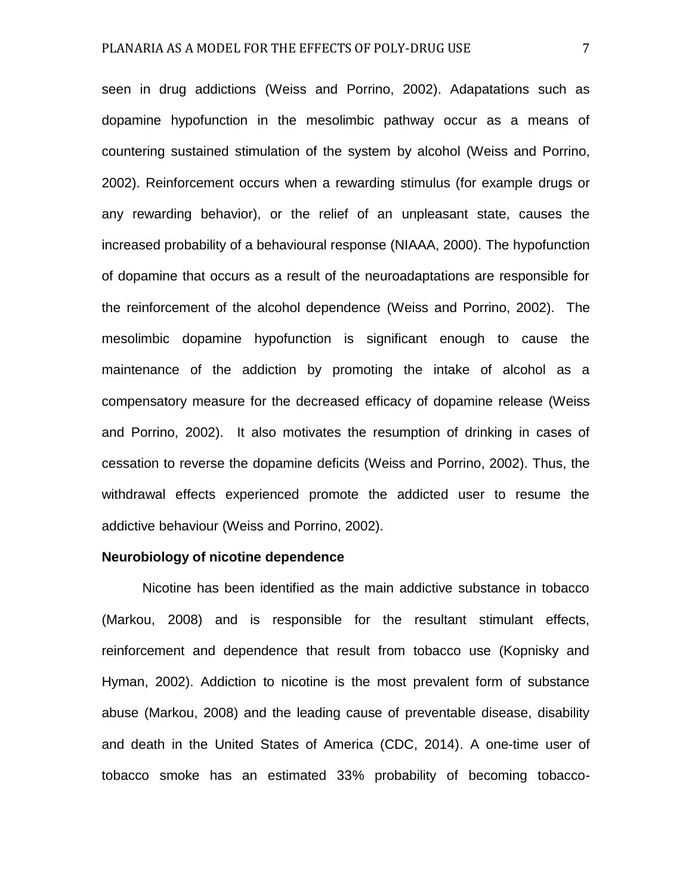seen in drug addictions (Weiss and Porrino, 2002). Adapatations such as dopamine hypofunction in the mesolimbic pathway occur as a means of countering sustained stimulation of the system by alcohol (Weiss and Porrino, 2002). Reinforcement occurs when a rewarding stimulus (for example drugs or any rewarding behavior), or the relief of an unpleasant state, causes the increased probability of a behavioural response (NIAAA, 2000). The hypofunction of dopamine that occurs as a result of the neuroadaptations are responsible for the reinforcement of the alcohol dependence (Weiss and Porrino, 2002). The mesolimbic dopamine hypofunction is significant enough to cause the maintenance of the addiction by promoting the intake of alcohol as a compensatory measure for the decreased efficacy of dopamine release (Weiss and Porrino, 2002). It also motivates the resumption of drinking in cases of cessation to reverse the dopamine deficits (Weiss and Porrino, 2002). Thus, the withdrawal effects experienced promote the addicted user to resume the addictive behaviour (Weiss and Porrino, 2002).

#### **Neurobiology of nicotine dependence**

Nicotine has been identified as the main addictive substance in tobacco (Markou, 2008) and is responsible for the resultant stimulant effects, reinforcement and dependence that result from tobacco use (Kopnisky and Hyman, 2002). Addiction to nicotine is the most prevalent form of substance abuse (Markou, 2008) and the leading cause of preventable disease, disability and death in the United States of America (CDC, 2014). A one-time user of tobacco smoke has an estimated 33% probability of becoming tobacco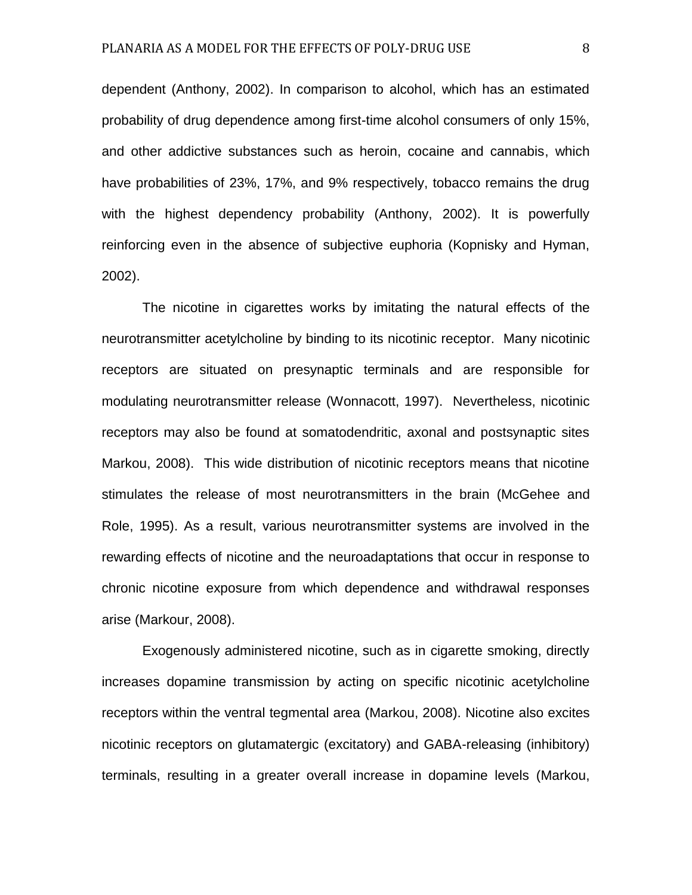dependent (Anthony, 2002). In comparison to alcohol, which has an estimated probability of drug dependence among first-time alcohol consumers of only 15%, and other addictive substances such as heroin, cocaine and cannabis, which have probabilities of 23%, 17%, and 9% respectively, tobacco remains the drug with the highest dependency probability (Anthony, 2002). It is powerfully reinforcing even in the absence of subjective euphoria (Kopnisky and Hyman, 2002).

The nicotine in cigarettes works by imitating the natural effects of the neurotransmitter acetylcholine by binding to its nicotinic receptor. Many nicotinic receptors are situated on presynaptic terminals and are responsible for modulating neurotransmitter release (Wonnacott, 1997). Nevertheless, nicotinic receptors may also be found at somatodendritic, axonal and postsynaptic sites Markou, 2008). This wide distribution of nicotinic receptors means that nicotine stimulates the release of most neurotransmitters in the brain (McGehee and Role, 1995). As a result, various neurotransmitter systems are involved in the rewarding effects of nicotine and the neuroadaptations that occur in response to chronic nicotine exposure from which dependence and withdrawal responses arise (Markour, 2008).

Exogenously administered nicotine, such as in cigarette smoking, directly increases dopamine transmission by acting on specific nicotinic acetylcholine receptors within the ventral tegmental area (Markou, 2008). Nicotine also excites nicotinic receptors on glutamatergic (excitatory) and GABA-releasing (inhibitory) terminals, resulting in a greater overall increase in dopamine levels (Markou,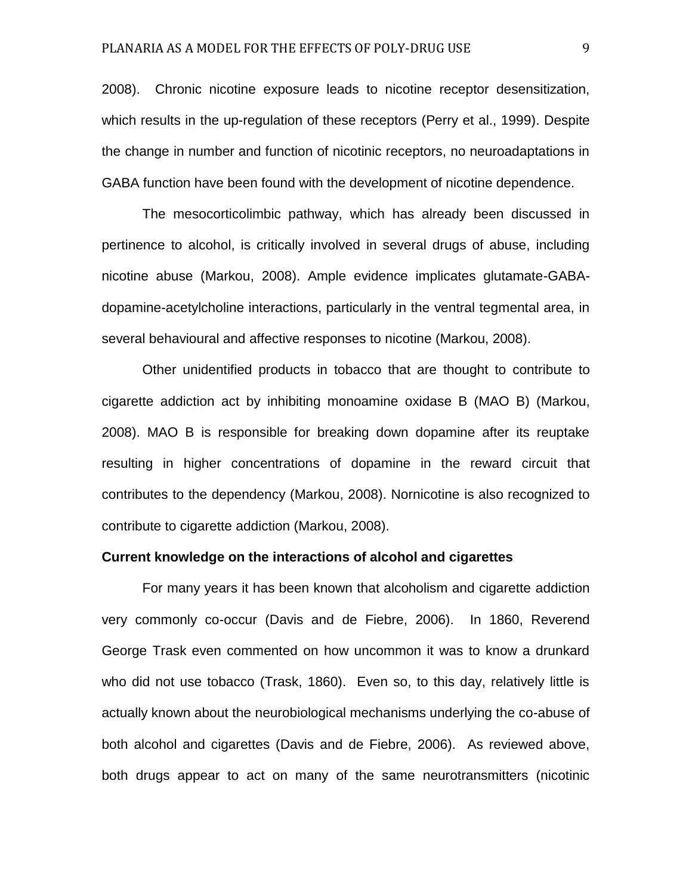2008). Chronic nicotine exposure leads to nicotine receptor desensitization, which results in the up-regulation of these receptors (Perry et al., 1999). Despite the change in number and function of nicotinic receptors, no neuroadaptations in GABA function have been found with the development of nicotine dependence.

The mesocorticolimbic pathway, which has already been discussed in pertinence to alcohol, is critically involved in several drugs of abuse, including nicotine abuse (Markou, 2008). Ample evidence implicates glutamate-GABAdopamine-acetylcholine interactions, particularly in the ventral tegmental area, in several behavioural and affective responses to nicotine (Markou, 2008).

Other unidentified products in tobacco that are thought to contribute to cigarette addiction act by inhibiting monoamine oxidase B (MAO B) (Markou, 2008). MAO B is responsible for breaking down dopamine after its reuptake resulting in higher concentrations of dopamine in the reward circuit that contributes to the dependency (Markou, 2008). Nornicotine is also recognized to contribute to cigarette addiction (Markou, 2008).

## **Current knowledge on the interactions of alcohol and cigarettes**

For many years it has been known that alcoholism and cigarette addiction very commonly co-occur (Davis and de Fiebre, 2006). In 1860, Reverend George Trask even commented on how uncommon it was to know a drunkard who did not use tobacco (Trask, 1860). Even so, to this day, relatively little is actually known about the neurobiological mechanisms underlying the co-abuse of both alcohol and cigarettes (Davis and de Fiebre, 2006). As reviewed above, both drugs appear to act on many of the same neurotransmitters (nicotinic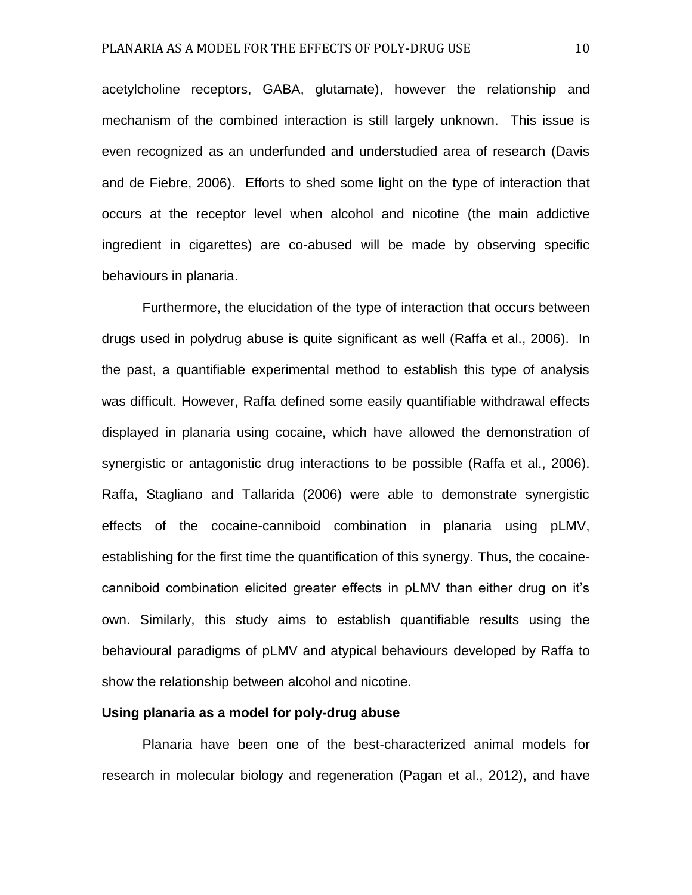acetylcholine receptors, GABA, glutamate), however the relationship and mechanism of the combined interaction is still largely unknown. This issue is even recognized as an underfunded and understudied area of research (Davis and de Fiebre, 2006). Efforts to shed some light on the type of interaction that occurs at the receptor level when alcohol and nicotine (the main addictive ingredient in cigarettes) are co-abused will be made by observing specific behaviours in planaria.

Furthermore, the elucidation of the type of interaction that occurs between drugs used in polydrug abuse is quite significant as well (Raffa et al., 2006). In the past, a quantifiable experimental method to establish this type of analysis was difficult. However, Raffa defined some easily quantifiable withdrawal effects displayed in planaria using cocaine, which have allowed the demonstration of synergistic or antagonistic drug interactions to be possible (Raffa et al., 2006). Raffa, Stagliano and Tallarida (2006) were able to demonstrate synergistic effects of the cocaine-canniboid combination in planaria using pLMV, establishing for the first time the quantification of this synergy. Thus, the cocainecanniboid combination elicited greater effects in pLMV than either drug on it's own. Similarly, this study aims to establish quantifiable results using the behavioural paradigms of pLMV and atypical behaviours developed by Raffa to show the relationship between alcohol and nicotine.

#### **Using planaria as a model for poly-drug abuse**

Planaria have been one of the best-characterized animal models for research in molecular biology and regeneration (Pagan et al., 2012), and have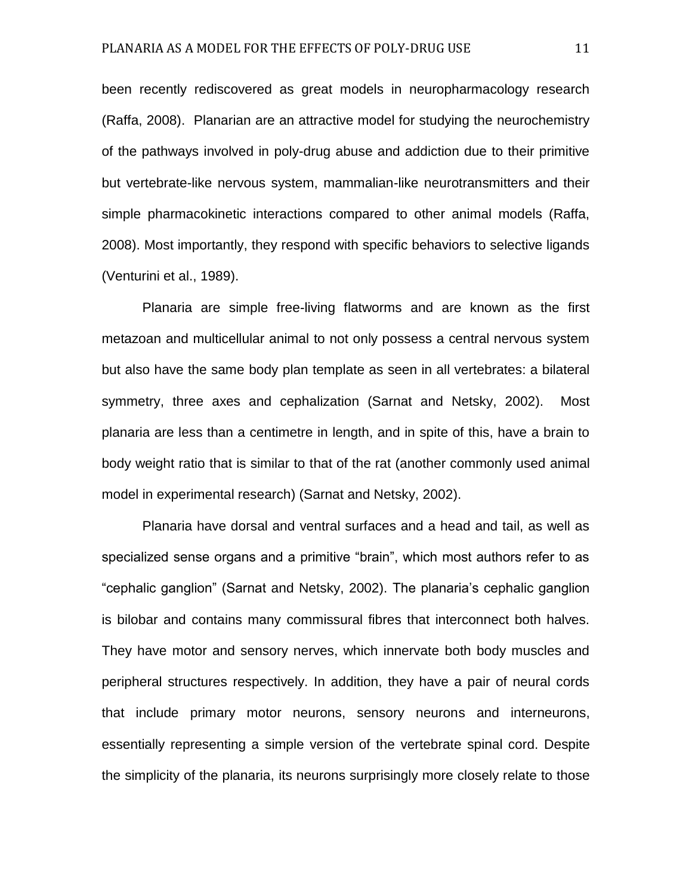been recently rediscovered as great models in neuropharmacology research (Raffa, 2008). Planarian are an attractive model for studying the neurochemistry of the pathways involved in poly-drug abuse and addiction due to their primitive but vertebrate-like nervous system, mammalian-like neurotransmitters and their simple pharmacokinetic interactions compared to other animal models (Raffa, 2008). Most importantly, they respond with specific behaviors to selective ligands (Venturini et al., 1989).

Planaria are simple free-living flatworms and are known as the first metazoan and multicellular animal to not only possess a central nervous system but also have the same body plan template as seen in all vertebrates: a bilateral symmetry, three axes and cephalization (Sarnat and Netsky, 2002). Most planaria are less than a centimetre in length, and in spite of this, have a brain to body weight ratio that is similar to that of the rat (another commonly used animal model in experimental research) (Sarnat and Netsky, 2002).

Planaria have dorsal and ventral surfaces and a head and tail, as well as specialized sense organs and a primitive "brain", which most authors refer to as "cephalic ganglion" (Sarnat and Netsky, 2002). The planaria's cephalic ganglion is bilobar and contains many commissural fibres that interconnect both halves. They have motor and sensory nerves, which innervate both body muscles and peripheral structures respectively. In addition, they have a pair of neural cords that include primary motor neurons, sensory neurons and interneurons, essentially representing a simple version of the vertebrate spinal cord. Despite the simplicity of the planaria, its neurons surprisingly more closely relate to those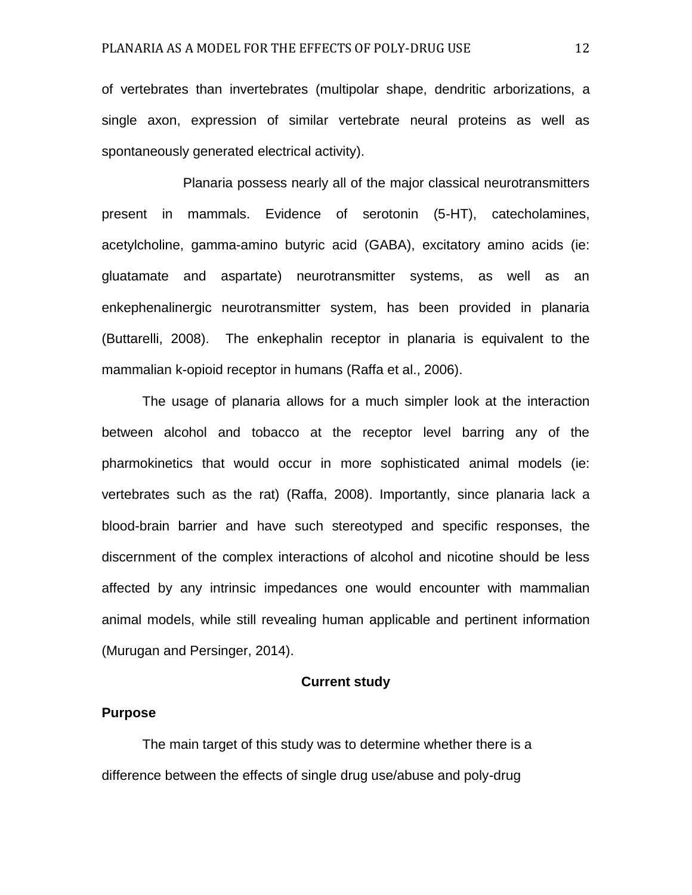of vertebrates than invertebrates (multipolar shape, dendritic arborizations, a single axon, expression of similar vertebrate neural proteins as well as spontaneously generated electrical activity).

Planaria possess nearly all of the major classical neurotransmitters present in mammals. Evidence of serotonin (5-HT), catecholamines, acetylcholine, gamma-amino butyric acid (GABA), excitatory amino acids (ie: gluatamate and aspartate) neurotransmitter systems, as well as an enkephenalinergic neurotransmitter system, has been provided in planaria (Buttarelli, 2008). The enkephalin receptor in planaria is equivalent to the mammalian k-opioid receptor in humans (Raffa et al., 2006).

The usage of planaria allows for a much simpler look at the interaction between alcohol and tobacco at the receptor level barring any of the pharmokinetics that would occur in more sophisticated animal models (ie: vertebrates such as the rat) (Raffa, 2008). Importantly, since planaria lack a blood-brain barrier and have such stereotyped and specific responses, the discernment of the complex interactions of alcohol and nicotine should be less affected by any intrinsic impedances one would encounter with mammalian animal models, while still revealing human applicable and pertinent information (Murugan and Persinger, 2014).

## **Current study**

#### **Purpose**

The main target of this study was to determine whether there is a difference between the effects of single drug use/abuse and poly-drug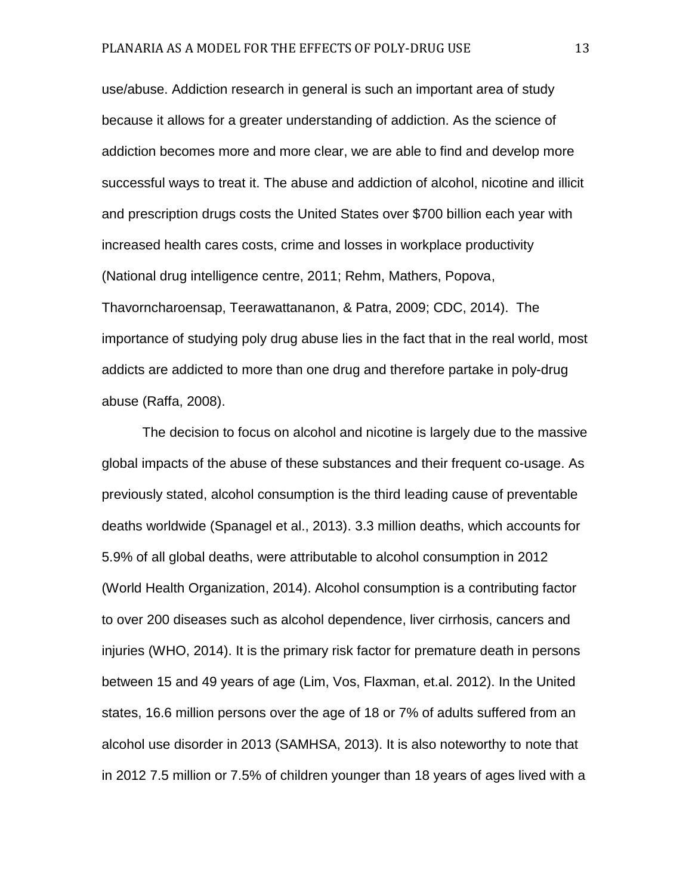use/abuse. Addiction research in general is such an important area of study because it allows for a greater understanding of addiction. As the science of addiction becomes more and more clear, we are able to find and develop more successful ways to treat it. The abuse and addiction of alcohol, nicotine and illicit and prescription drugs costs the United States over \$700 billion each year with increased health cares costs, crime and losses in workplace productivity (National drug intelligence centre, 2011; Rehm, Mathers, Popova, Thavorncharoensap, Teerawattananon, & Patra, 2009; CDC, 2014). The importance of studying poly drug abuse lies in the fact that in the real world, most addicts are addicted to more than one drug and therefore partake in poly-drug abuse (Raffa, 2008).

The decision to focus on alcohol and nicotine is largely due to the massive global impacts of the abuse of these substances and their frequent co-usage. As previously stated, alcohol consumption is the third leading cause of preventable deaths worldwide (Spanagel et al., 2013). 3.3 million deaths, which accounts for 5.9% of all global deaths, were attributable to alcohol consumption in 2012 (World Health Organization, 2014). Alcohol consumption is a contributing factor to over 200 diseases such as alcohol dependence, liver cirrhosis, cancers and injuries (WHO, 2014). It is the primary risk factor for premature death in persons between 15 and 49 years of age (Lim, Vos, Flaxman, et.al. 2012). In the United states, 16.6 million persons over the age of 18 or 7% of adults suffered from an alcohol use disorder in 2013 (SAMHSA, 2013). It is also noteworthy to note that in 2012 7.5 million or 7.5% of children younger than 18 years of ages lived with a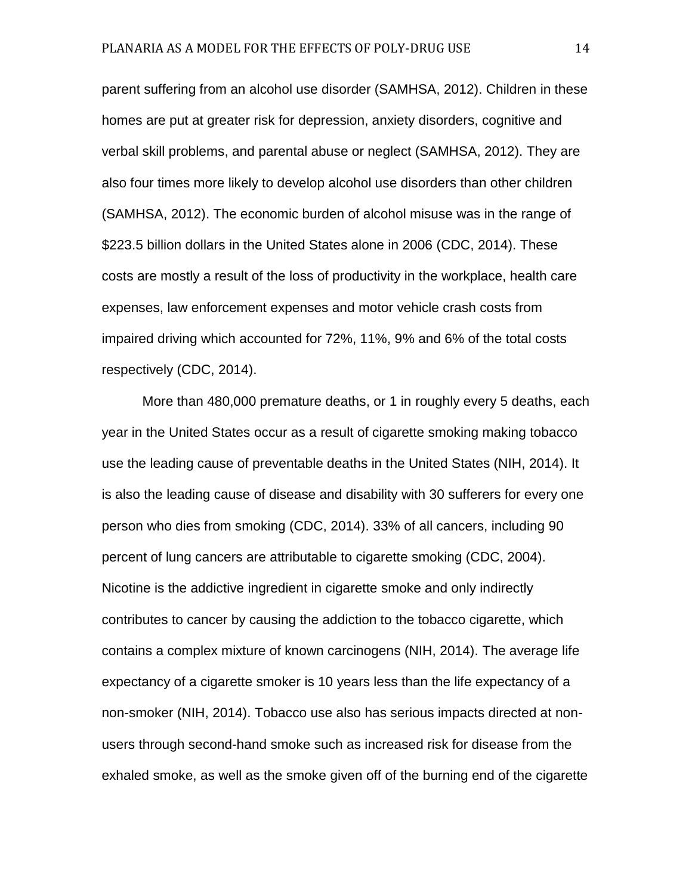parent suffering from an alcohol use disorder (SAMHSA, 2012). Children in these homes are put at greater risk for depression, anxiety disorders, cognitive and verbal skill problems, and parental abuse or neglect (SAMHSA, 2012). They are also four times more likely to develop alcohol use disorders than other children (SAMHSA, 2012). The economic burden of alcohol misuse was in the range of \$223.5 billion dollars in the United States alone in 2006 (CDC, 2014). These costs are mostly a result of the loss of productivity in the workplace, health care expenses, law enforcement expenses and motor vehicle crash costs from impaired driving which accounted for 72%, 11%, 9% and 6% of the total costs respectively (CDC, 2014).

More than 480,000 premature deaths, or 1 in roughly every 5 deaths, each year in the United States occur as a result of cigarette smoking making tobacco use the leading cause of preventable deaths in the United States (NIH, 2014). It is also the leading cause of disease and disability with 30 sufferers for every one person who dies from smoking (CDC, 2014). 33% of all cancers, including 90 percent of lung cancers are attributable to cigarette smoking (CDC, 2004). Nicotine is the addictive ingredient in cigarette smoke and only indirectly contributes to cancer by causing the addiction to the tobacco cigarette, which contains a complex mixture of known carcinogens (NIH, 2014). The average life expectancy of a cigarette smoker is 10 years less than the life expectancy of a non-smoker (NIH, 2014). Tobacco use also has serious impacts directed at nonusers through second-hand smoke such as increased risk for disease from the exhaled smoke, as well as the smoke given off of the burning end of the cigarette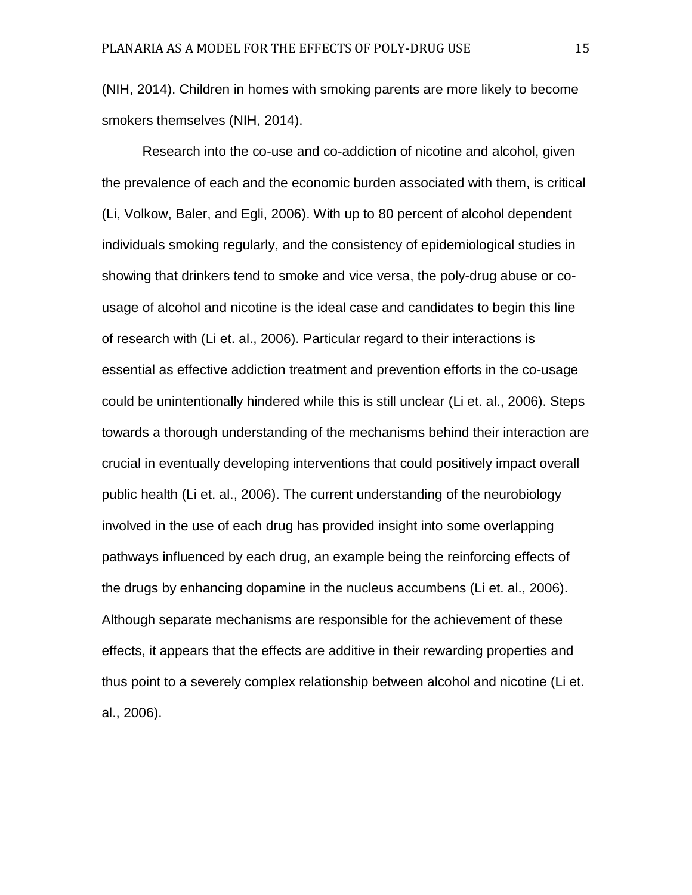(NIH, 2014). Children in homes with smoking parents are more likely to become smokers themselves (NIH, 2014).

Research into the co-use and co-addiction of nicotine and alcohol, given the prevalence of each and the economic burden associated with them, is critical (Li, Volkow, Baler, and Egli, 2006). With up to 80 percent of alcohol dependent individuals smoking regularly, and the consistency of epidemiological studies in showing that drinkers tend to smoke and vice versa, the poly-drug abuse or cousage of alcohol and nicotine is the ideal case and candidates to begin this line of research with (Li et. al., 2006). Particular regard to their interactions is essential as effective addiction treatment and prevention efforts in the co-usage could be unintentionally hindered while this is still unclear (Li et. al., 2006). Steps towards a thorough understanding of the mechanisms behind their interaction are crucial in eventually developing interventions that could positively impact overall public health (Li et. al., 2006). The current understanding of the neurobiology involved in the use of each drug has provided insight into some overlapping pathways influenced by each drug, an example being the reinforcing effects of the drugs by enhancing dopamine in the nucleus accumbens (Li et. al., 2006). Although separate mechanisms are responsible for the achievement of these effects, it appears that the effects are additive in their rewarding properties and thus point to a severely complex relationship between alcohol and nicotine (Li et. al., 2006).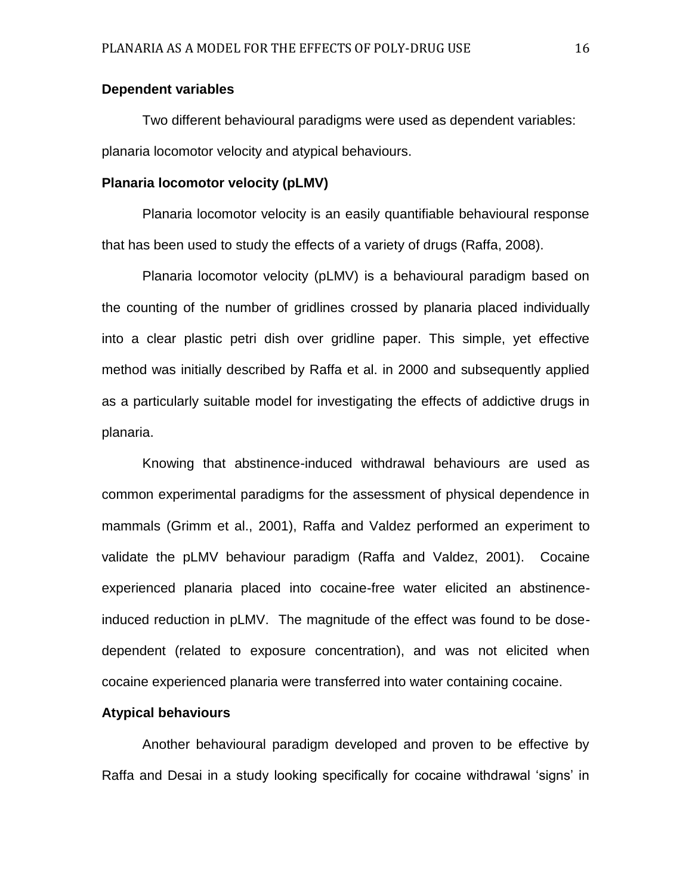# **Dependent variables**

Two different behavioural paradigms were used as dependent variables: planaria locomotor velocity and atypical behaviours.

#### **Planaria locomotor velocity (pLMV)**

Planaria locomotor velocity is an easily quantifiable behavioural response that has been used to study the effects of a variety of drugs (Raffa, 2008).

Planaria locomotor velocity (pLMV) is a behavioural paradigm based on the counting of the number of gridlines crossed by planaria placed individually into a clear plastic petri dish over gridline paper. This simple, yet effective method was initially described by Raffa et al. in 2000 and subsequently applied as a particularly suitable model for investigating the effects of addictive drugs in planaria.

Knowing that abstinence-induced withdrawal behaviours are used as common experimental paradigms for the assessment of physical dependence in mammals (Grimm et al., 2001), Raffa and Valdez performed an experiment to validate the pLMV behaviour paradigm (Raffa and Valdez, 2001). Cocaine experienced planaria placed into cocaine-free water elicited an abstinenceinduced reduction in pLMV. The magnitude of the effect was found to be dosedependent (related to exposure concentration), and was not elicited when cocaine experienced planaria were transferred into water containing cocaine.

# **Atypical behaviours**

Another behavioural paradigm developed and proven to be effective by Raffa and Desai in a study looking specifically for cocaine withdrawal 'signs' in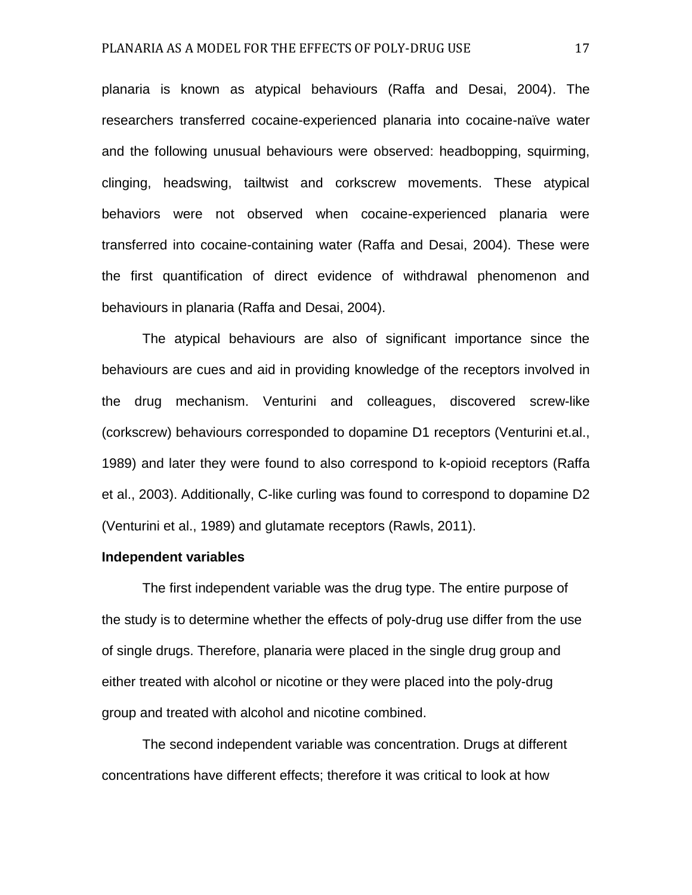planaria is known as atypical behaviours (Raffa and Desai, 2004). The researchers transferred cocaine-experienced planaria into cocaine-naïve water and the following unusual behaviours were observed: headbopping, squirming, clinging, headswing, tailtwist and corkscrew movements. These atypical behaviors were not observed when cocaine-experienced planaria were transferred into cocaine-containing water (Raffa and Desai, 2004). These were the first quantification of direct evidence of withdrawal phenomenon and behaviours in planaria (Raffa and Desai, 2004).

The atypical behaviours are also of significant importance since the behaviours are cues and aid in providing knowledge of the receptors involved in the drug mechanism. Venturini and colleagues, discovered screw-like (corkscrew) behaviours corresponded to dopamine D1 receptors (Venturini et.al., 1989) and later they were found to also correspond to k-opioid receptors (Raffa et al., 2003). Additionally, C-like curling was found to correspond to dopamine D2 (Venturini et al., 1989) and glutamate receptors (Rawls, 2011).

## **Independent variables**

The first independent variable was the drug type. The entire purpose of the study is to determine whether the effects of poly-drug use differ from the use of single drugs. Therefore, planaria were placed in the single drug group and either treated with alcohol or nicotine or they were placed into the poly-drug group and treated with alcohol and nicotine combined.

The second independent variable was concentration. Drugs at different concentrations have different effects; therefore it was critical to look at how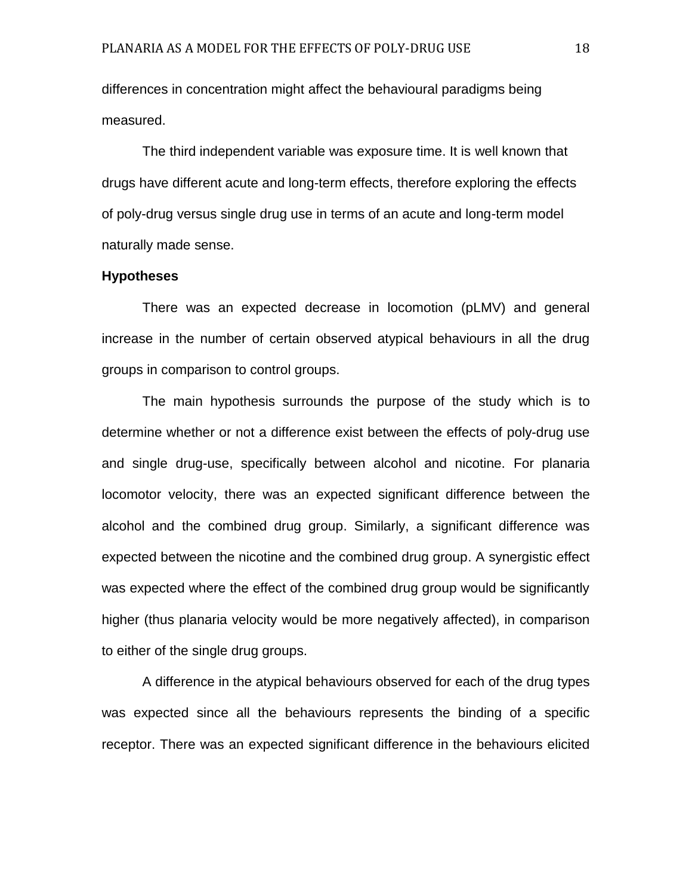differences in concentration might affect the behavioural paradigms being measured.

The third independent variable was exposure time. It is well known that drugs have different acute and long-term effects, therefore exploring the effects of poly-drug versus single drug use in terms of an acute and long-term model naturally made sense.

#### **Hypotheses**

There was an expected decrease in locomotion (pLMV) and general increase in the number of certain observed atypical behaviours in all the drug groups in comparison to control groups.

The main hypothesis surrounds the purpose of the study which is to determine whether or not a difference exist between the effects of poly-drug use and single drug-use, specifically between alcohol and nicotine. For planaria locomotor velocity, there was an expected significant difference between the alcohol and the combined drug group. Similarly, a significant difference was expected between the nicotine and the combined drug group. A synergistic effect was expected where the effect of the combined drug group would be significantly higher (thus planaria velocity would be more negatively affected), in comparison to either of the single drug groups.

A difference in the atypical behaviours observed for each of the drug types was expected since all the behaviours represents the binding of a specific receptor. There was an expected significant difference in the behaviours elicited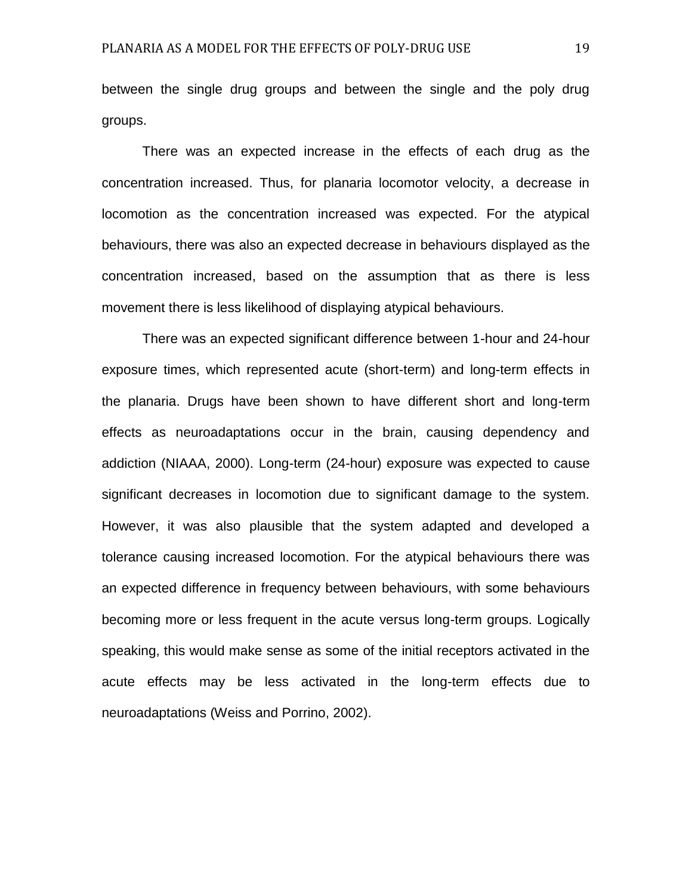between the single drug groups and between the single and the poly drug groups.

There was an expected increase in the effects of each drug as the concentration increased. Thus, for planaria locomotor velocity, a decrease in locomotion as the concentration increased was expected. For the atypical behaviours, there was also an expected decrease in behaviours displayed as the concentration increased, based on the assumption that as there is less movement there is less likelihood of displaying atypical behaviours.

There was an expected significant difference between 1-hour and 24-hour exposure times, which represented acute (short-term) and long-term effects in the planaria. Drugs have been shown to have different short and long-term effects as neuroadaptations occur in the brain, causing dependency and addiction (NIAAA, 2000). Long-term (24-hour) exposure was expected to cause significant decreases in locomotion due to significant damage to the system. However, it was also plausible that the system adapted and developed a tolerance causing increased locomotion. For the atypical behaviours there was an expected difference in frequency between behaviours, with some behaviours becoming more or less frequent in the acute versus long-term groups. Logically speaking, this would make sense as some of the initial receptors activated in the acute effects may be less activated in the long-term effects due to neuroadaptations (Weiss and Porrino, 2002).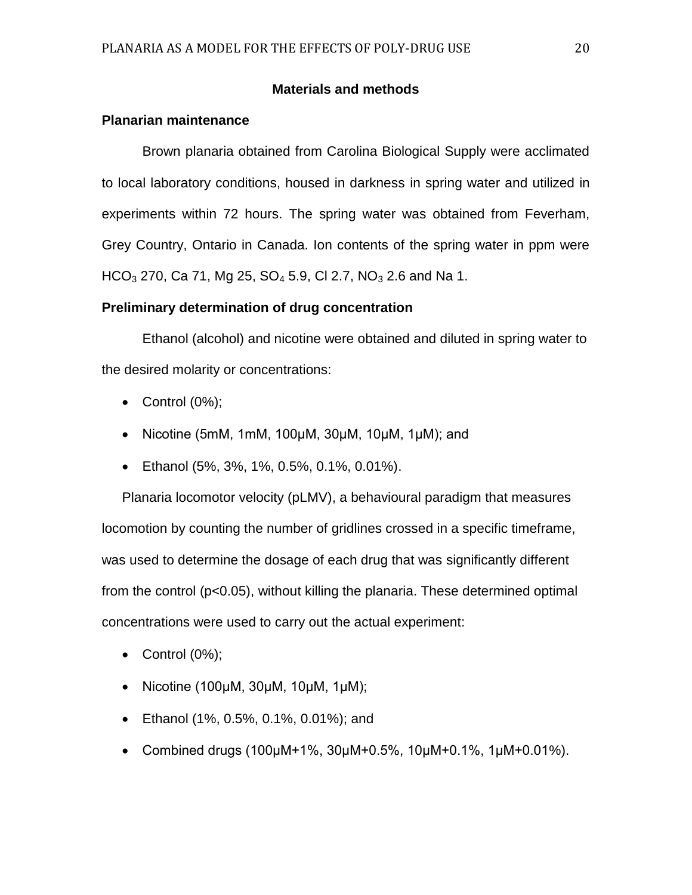# **Materials and methods**

# **Planarian maintenance**

Brown planaria obtained from Carolina Biological Supply were acclimated to local laboratory conditions, housed in darkness in spring water and utilized in experiments within 72 hours. The spring water was obtained from Feverham, Grey Country, Ontario in Canada. Ion contents of the spring water in ppm were  $HCO<sub>3</sub>$  270, Ca 71, Mg 25, SO<sub>4</sub> 5.9, Cl 2.7, NO<sub>3</sub> 2.6 and Na 1.

# **Preliminary determination of drug concentration**

Ethanol (alcohol) and nicotine were obtained and diluted in spring water to the desired molarity or concentrations:

- $\bullet$  Control  $(0\%)$ ;
- Nicotine (5mM, 1mM, 100 $\mu$ M, 30 $\mu$ M, 10 $\mu$ M, 1 $\mu$ M); and
- Ethanol (5%, 3%, 1%, 0.5%, 0.1%, 0.01%).

Planaria locomotor velocity (pLMV), a behavioural paradigm that measures locomotion by counting the number of gridlines crossed in a specific timeframe, was used to determine the dosage of each drug that was significantly different from the control (p<0.05), without killing the planaria. These determined optimal concentrations were used to carry out the actual experiment:

- $\bullet$  Control (0%);
- Nicotine (100μM, 30μM, 10μM, 1μM);
- Ethanol (1%, 0.5%, 0.1%, 0.01%); and
- Combined drugs (100 $\mu$ M+1%, 30 $\mu$ M+0.5%, 10 $\mu$ M+0.1%, 1 $\mu$ M+0.01%).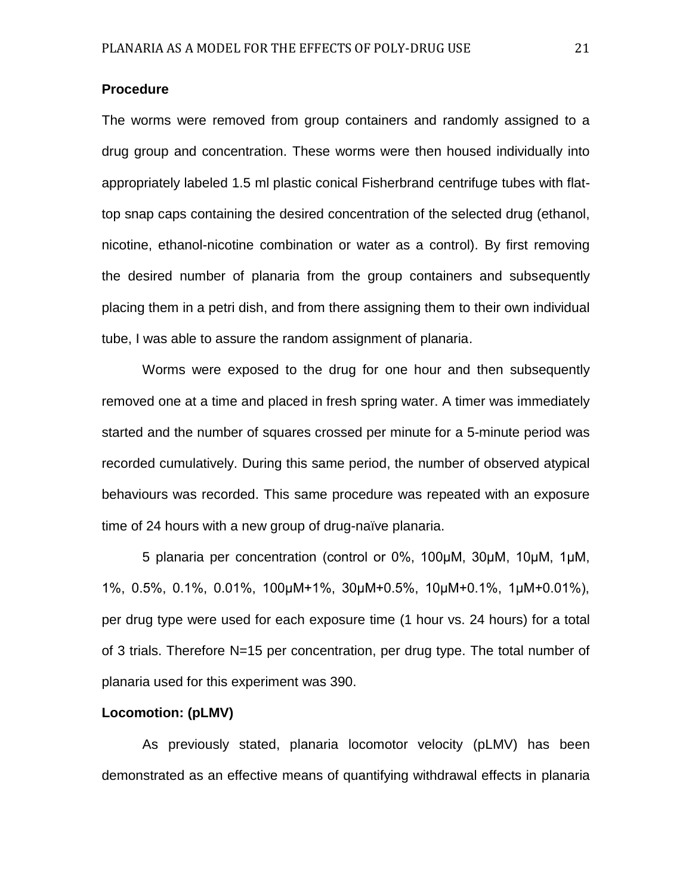# **Procedure**

The worms were removed from group containers and randomly assigned to a drug group and concentration. These worms were then housed individually into appropriately labeled 1.5 ml plastic conical Fisherbrand centrifuge tubes with flattop snap caps containing the desired concentration of the selected drug (ethanol, nicotine, ethanol-nicotine combination or water as a control). By first removing the desired number of planaria from the group containers and subsequently placing them in a petri dish, and from there assigning them to their own individual tube, I was able to assure the random assignment of planaria.

Worms were exposed to the drug for one hour and then subsequently removed one at a time and placed in fresh spring water. A timer was immediately started and the number of squares crossed per minute for a 5-minute period was recorded cumulatively. During this same period, the number of observed atypical behaviours was recorded. This same procedure was repeated with an exposure time of 24 hours with a new group of drug-naïve planaria.

5 planaria per concentration (control or 0%, 100μM, 30μM, 10μM, 1μM, 1%, 0.5%, 0.1%, 0.01%, 100μM+1%, 30μM+0.5%, 10μM+0.1%, 1μM+0.01%), per drug type were used for each exposure time (1 hour vs. 24 hours) for a total of 3 trials. Therefore N=15 per concentration, per drug type. The total number of planaria used for this experiment was 390.

#### **Locomotion: (pLMV)**

As previously stated, planaria locomotor velocity (pLMV) has been demonstrated as an effective means of quantifying withdrawal effects in planaria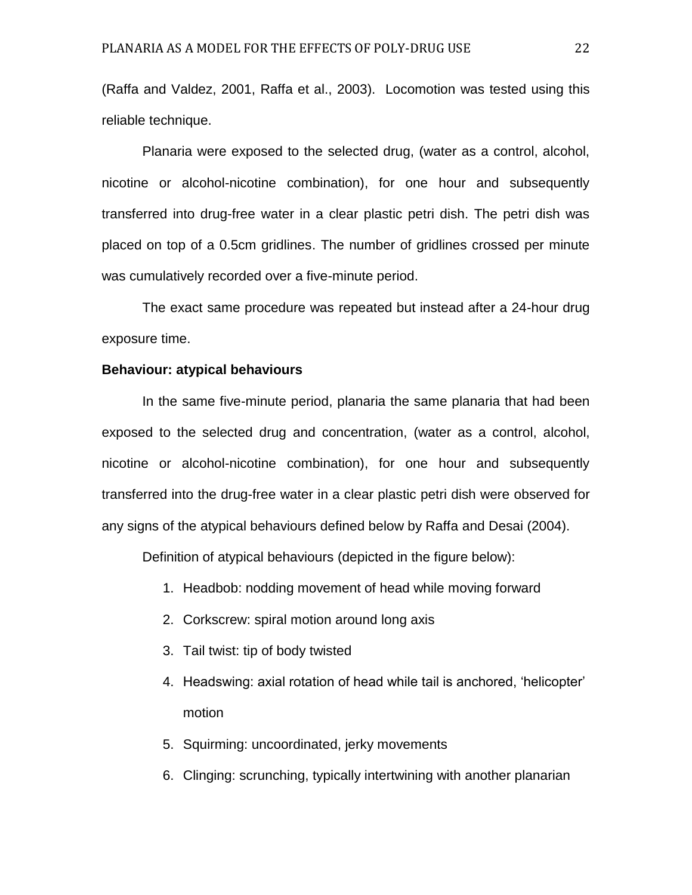(Raffa and Valdez, 2001, Raffa et al., 2003). Locomotion was tested using this reliable technique.

Planaria were exposed to the selected drug, (water as a control, alcohol, nicotine or alcohol-nicotine combination), for one hour and subsequently transferred into drug-free water in a clear plastic petri dish. The petri dish was placed on top of a 0.5cm gridlines. The number of gridlines crossed per minute was cumulatively recorded over a five-minute period.

The exact same procedure was repeated but instead after a 24-hour drug exposure time.

# **Behaviour: atypical behaviours**

In the same five-minute period, planaria the same planaria that had been exposed to the selected drug and concentration, (water as a control, alcohol, nicotine or alcohol-nicotine combination), for one hour and subsequently transferred into the drug-free water in a clear plastic petri dish were observed for any signs of the atypical behaviours defined below by Raffa and Desai (2004).

Definition of atypical behaviours (depicted in the figure below):

- 1. Headbob: nodding movement of head while moving forward
- 2. Corkscrew: spiral motion around long axis
- 3. Tail twist: tip of body twisted
- 4. Headswing: axial rotation of head while tail is anchored, 'helicopter' motion
- 5. Squirming: uncoordinated, jerky movements
- 6. Clinging: scrunching, typically intertwining with another planarian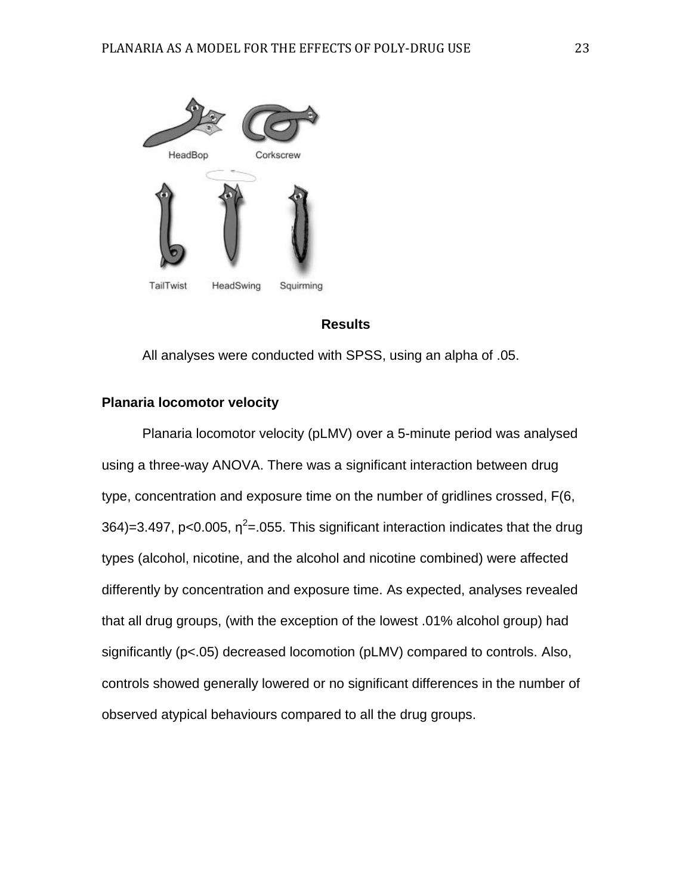

# **Results**

All analyses were conducted with SPSS, using an alpha of .05.

# **Planaria locomotor velocity**

Planaria locomotor velocity (pLMV) over a 5-minute period was analysed using a three-way ANOVA. There was a significant interaction between drug type, concentration and exposure time on the number of gridlines crossed, F(6, 364)=3.497, p<0.005,  $\eta^2$ =.055. This significant interaction indicates that the drug types (alcohol, nicotine, and the alcohol and nicotine combined) were affected differently by concentration and exposure time. As expected, analyses revealed that all drug groups, (with the exception of the lowest .01% alcohol group) had significantly (p<.05) decreased locomotion (pLMV) compared to controls. Also, controls showed generally lowered or no significant differences in the number of observed atypical behaviours compared to all the drug groups.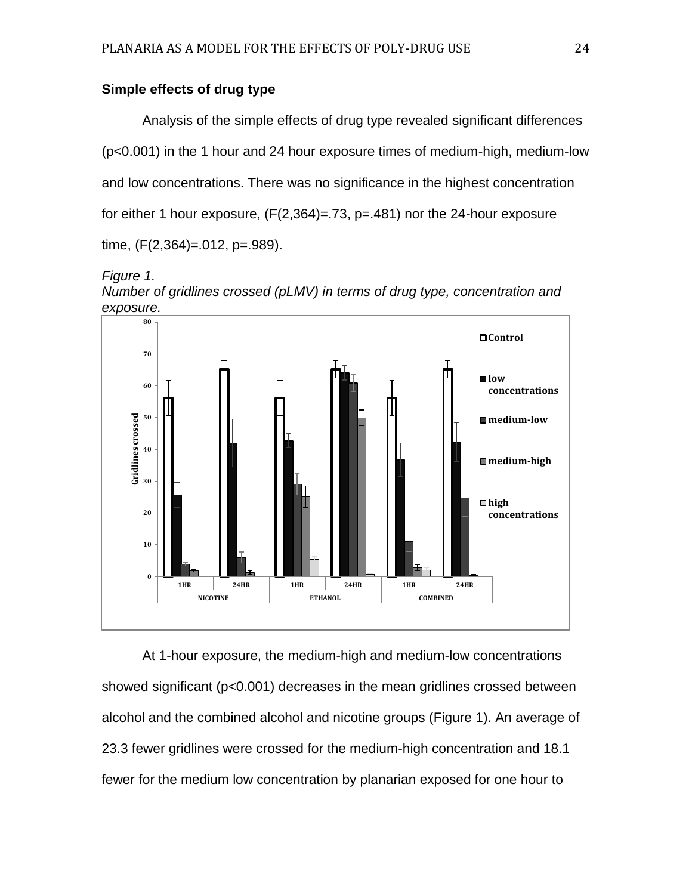# **Simple effects of drug type**

Analysis of the simple effects of drug type revealed significant differences (p<0.001) in the 1 hour and 24 hour exposure times of medium-high, medium-low and low concentrations. There was no significance in the highest concentration for either 1 hour exposure,  $(F(2,364)=73, p=.481)$  nor the 24-hour exposure time, (F(2,364)=.012, p=.989).





At 1-hour exposure, the medium-high and medium-low concentrations showed significant (p<0.001) decreases in the mean gridlines crossed between alcohol and the combined alcohol and nicotine groups (Figure 1). An average of 23.3 fewer gridlines were crossed for the medium-high concentration and 18.1 fewer for the medium low concentration by planarian exposed for one hour to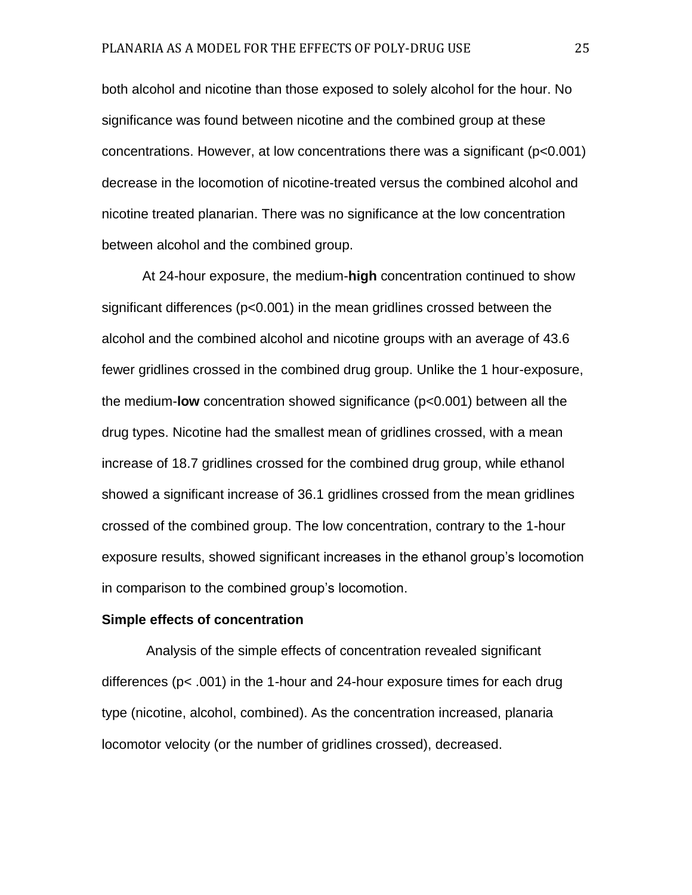both alcohol and nicotine than those exposed to solely alcohol for the hour. No significance was found between nicotine and the combined group at these concentrations. However, at low concentrations there was a significant (p<0.001) decrease in the locomotion of nicotine-treated versus the combined alcohol and nicotine treated planarian. There was no significance at the low concentration between alcohol and the combined group.

At 24-hour exposure, the medium-**high** concentration continued to show significant differences (p<0.001) in the mean gridlines crossed between the alcohol and the combined alcohol and nicotine groups with an average of 43.6 fewer gridlines crossed in the combined drug group. Unlike the 1 hour-exposure, the medium-**low** concentration showed significance (p<0.001) between all the drug types. Nicotine had the smallest mean of gridlines crossed, with a mean increase of 18.7 gridlines crossed for the combined drug group, while ethanol showed a significant increase of 36.1 gridlines crossed from the mean gridlines crossed of the combined group. The low concentration, contrary to the 1-hour exposure results, showed significant increases in the ethanol group's locomotion in comparison to the combined group's locomotion.

#### **Simple effects of concentration**

Analysis of the simple effects of concentration revealed significant differences (p< .001) in the 1-hour and 24-hour exposure times for each drug type (nicotine, alcohol, combined). As the concentration increased, planaria locomotor velocity (or the number of gridlines crossed), decreased.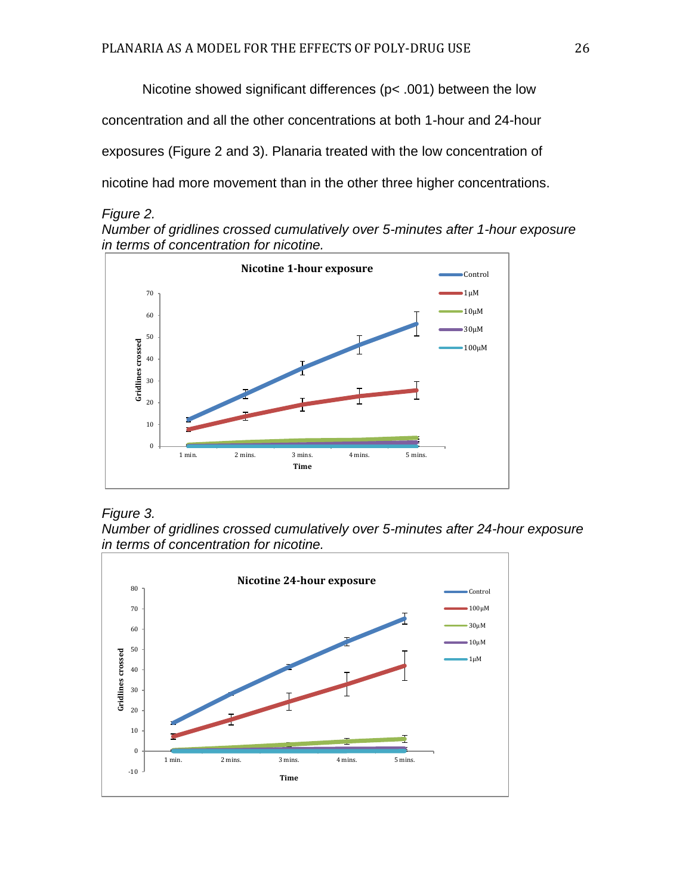Nicotine showed significant differences (p< .001) between the low concentration and all the other concentrations at both 1-hour and 24-hour exposures (Figure 2 and 3). Planaria treated with the low concentration of nicotine had more movement than in the other three higher concentrations.

# *Figure 2.*

*Number of gridlines crossed cumulatively over 5-minutes after 1-hour exposure in terms of concentration for nicotine.* 



# *Figure 3.*

*Number of gridlines crossed cumulatively over 5-minutes after 24-hour exposure in terms of concentration for nicotine.* 

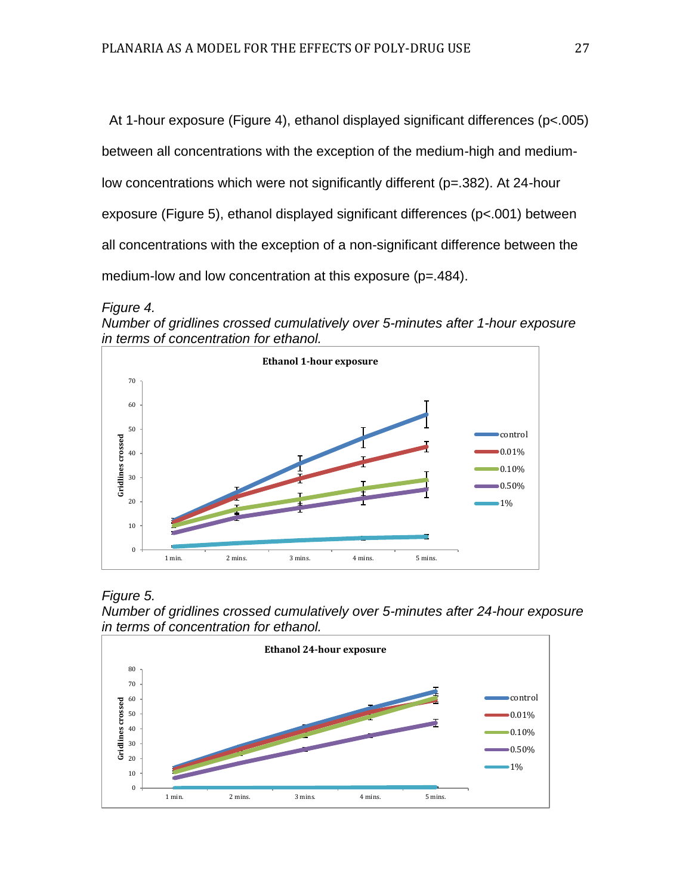At 1-hour exposure (Figure 4), ethanol displayed significant differences (p<.005) between all concentrations with the exception of the medium-high and mediumlow concentrations which were not significantly different (p=.382). At 24-hour exposure (Figure 5), ethanol displayed significant differences (p<.001) between all concentrations with the exception of a non-significant difference between the medium-low and low concentration at this exposure (p=.484).









*Number of gridlines crossed cumulatively over 5-minutes after 24-hour exposure in terms of concentration for ethanol.* 

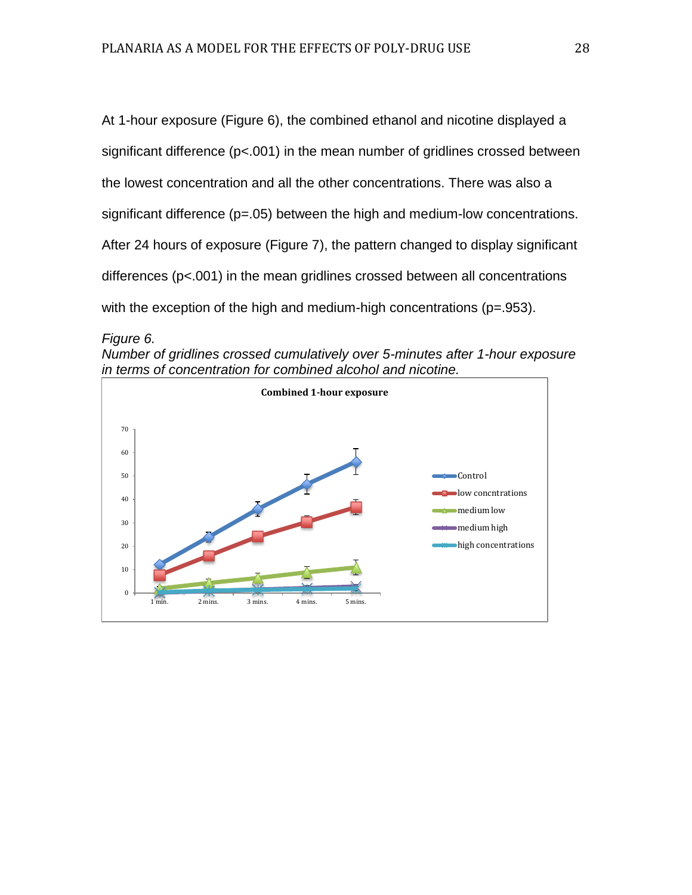At 1-hour exposure (Figure 6), the combined ethanol and nicotine displayed a significant difference (p<.001) in the mean number of gridlines crossed between the lowest concentration and all the other concentrations. There was also a significant difference (p=.05) between the high and medium-low concentrations. After 24 hours of exposure (Figure 7), the pattern changed to display significant differences (p<.001) in the mean gridlines crossed between all concentrations with the exception of the high and medium-high concentrations (p=.953).

*Number of gridlines crossed cumulatively over 5-minutes after 1-hour exposure in terms of concentration for combined alcohol and nicotine.* 



*Figure 6.*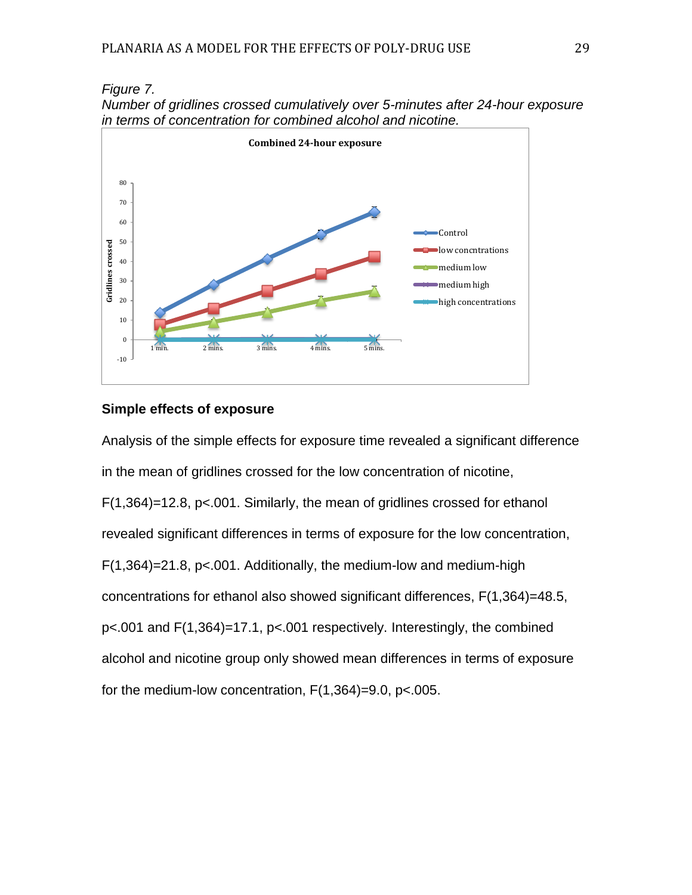



# **Simple effects of exposure**

Analysis of the simple effects for exposure time revealed a significant difference in the mean of gridlines crossed for the low concentration of nicotine, F(1,364)=12.8, p<.001. Similarly, the mean of gridlines crossed for ethanol revealed significant differences in terms of exposure for the low concentration,  $F(1,364)=21.8$ ,  $p<.001$ . Additionally, the medium-low and medium-high concentrations for ethanol also showed significant differences, F(1,364)=48.5, p<.001 and F(1,364)=17.1, p<.001 respectively. Interestingly, the combined alcohol and nicotine group only showed mean differences in terms of exposure for the medium-low concentration, F(1,364)=9.0, p<.005.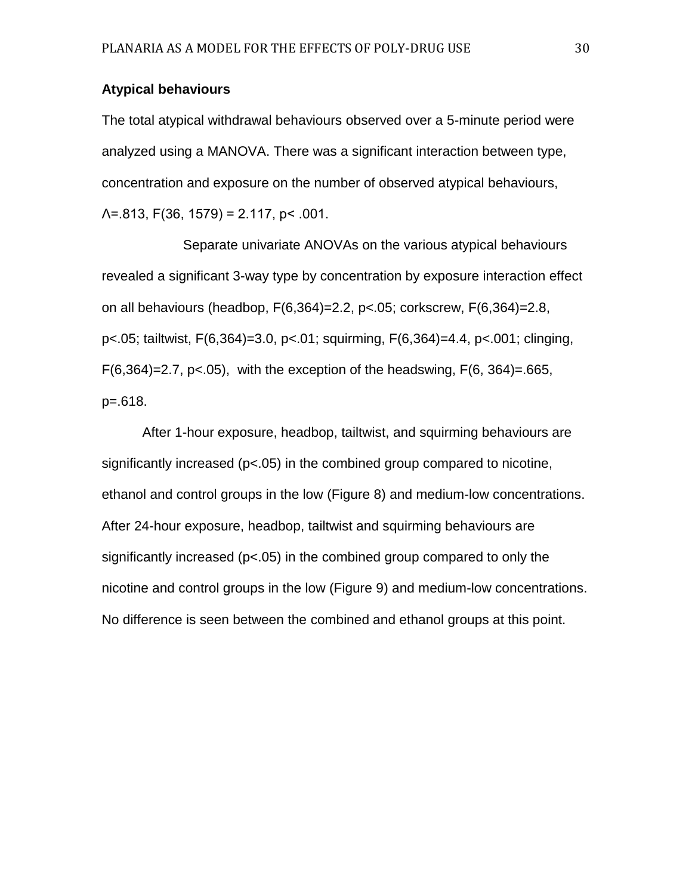# **Atypical behaviours**

The total atypical withdrawal behaviours observed over a 5-minute period were analyzed using a MANOVA. There was a significant interaction between type, concentration and exposure on the number of observed atypical behaviours,  $\Lambda$ =.813, F(36, 1579) = 2.117, p< .001.

Separate univariate ANOVAs on the various atypical behaviours revealed a significant 3-way type by concentration by exposure interaction effect on all behaviours (headbop, F(6,364)=2.2, p<.05; corkscrew, F(6,364)=2.8, p<.05; tailtwist, F(6,364)=3.0, p<.01; squirming, F(6,364)=4.4, p<.001; clinging,  $F(6,364)=2.7$ , p<.05), with the exception of the headswing,  $F(6, 364)=0.665$ , p=.618.

After 1-hour exposure, headbop, tailtwist, and squirming behaviours are significantly increased (p<.05) in the combined group compared to nicotine, ethanol and control groups in the low (Figure 8) and medium-low concentrations. After 24-hour exposure, headbop, tailtwist and squirming behaviours are significantly increased (p<.05) in the combined group compared to only the nicotine and control groups in the low (Figure 9) and medium-low concentrations. No difference is seen between the combined and ethanol groups at this point.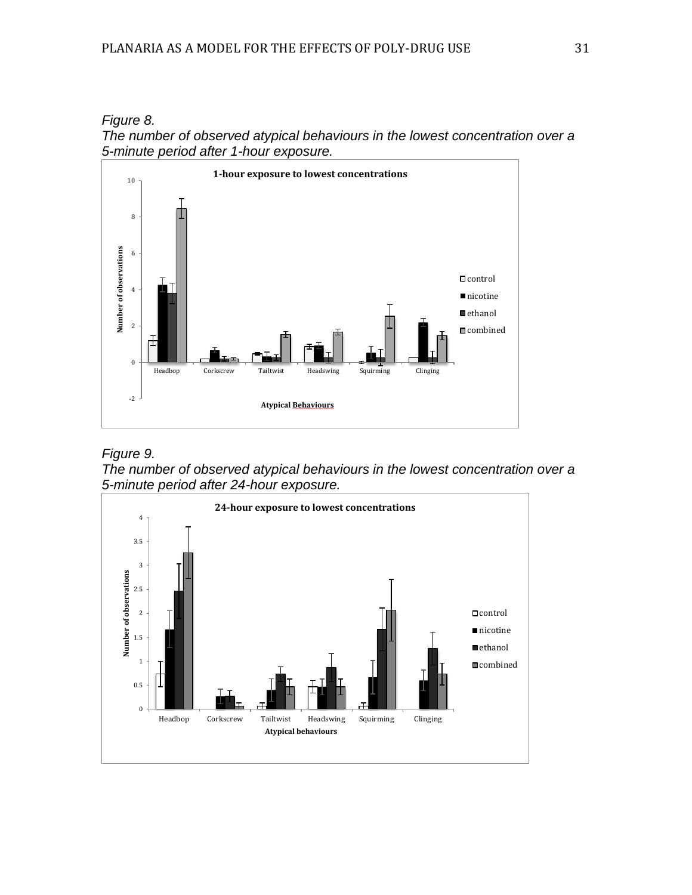*Figure 8.*





# *Figure 9.*

*The number of observed atypical behaviours in the lowest concentration over a 5-minute period after 24-hour exposure.* 

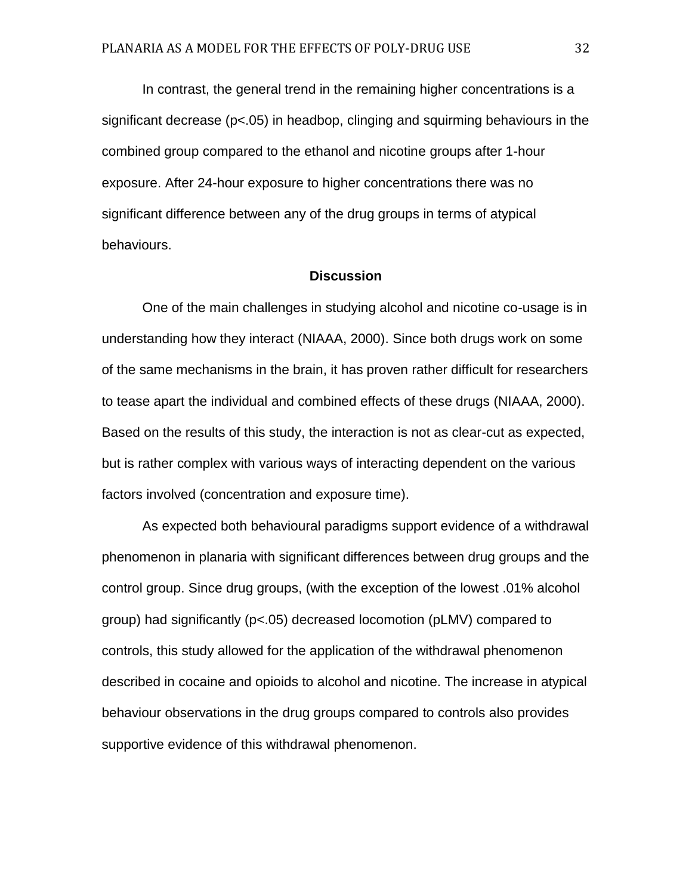In contrast, the general trend in the remaining higher concentrations is a significant decrease (p<.05) in headbop, clinging and squirming behaviours in the combined group compared to the ethanol and nicotine groups after 1-hour exposure. After 24-hour exposure to higher concentrations there was no significant difference between any of the drug groups in terms of atypical behaviours.

# **Discussion**

One of the main challenges in studying alcohol and nicotine co-usage is in understanding how they interact (NIAAA, 2000). Since both drugs work on some of the same mechanisms in the brain, it has proven rather difficult for researchers to tease apart the individual and combined effects of these drugs (NIAAA, 2000). Based on the results of this study, the interaction is not as clear-cut as expected, but is rather complex with various ways of interacting dependent on the various factors involved (concentration and exposure time).

As expected both behavioural paradigms support evidence of a withdrawal phenomenon in planaria with significant differences between drug groups and the control group. Since drug groups, (with the exception of the lowest .01% alcohol group) had significantly (p<.05) decreased locomotion (pLMV) compared to controls, this study allowed for the application of the withdrawal phenomenon described in cocaine and opioids to alcohol and nicotine. The increase in atypical behaviour observations in the drug groups compared to controls also provides supportive evidence of this withdrawal phenomenon.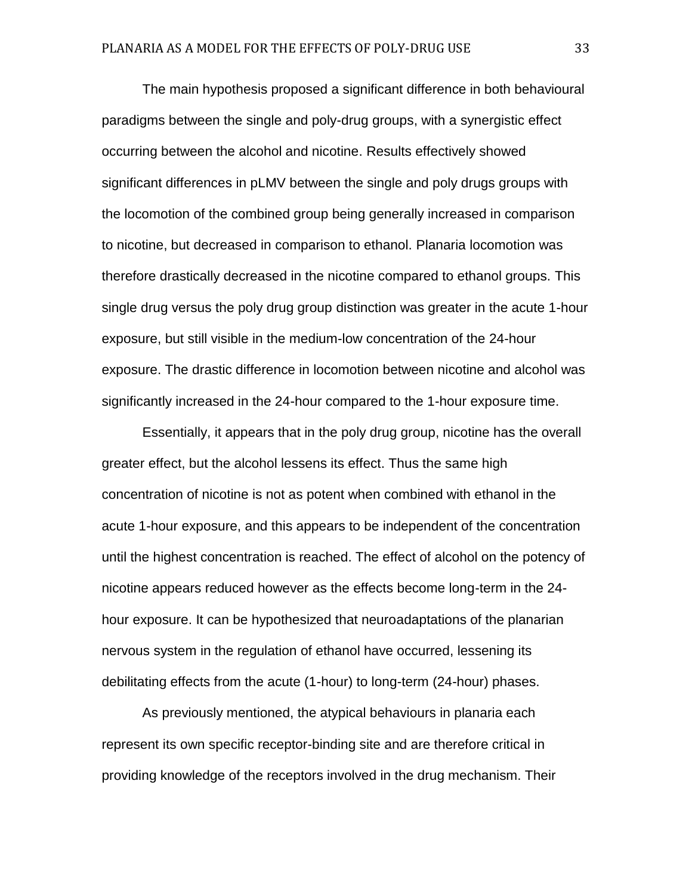The main hypothesis proposed a significant difference in both behavioural paradigms between the single and poly-drug groups, with a synergistic effect occurring between the alcohol and nicotine. Results effectively showed significant differences in pLMV between the single and poly drugs groups with the locomotion of the combined group being generally increased in comparison to nicotine, but decreased in comparison to ethanol. Planaria locomotion was therefore drastically decreased in the nicotine compared to ethanol groups. This single drug versus the poly drug group distinction was greater in the acute 1-hour exposure, but still visible in the medium-low concentration of the 24-hour exposure. The drastic difference in locomotion between nicotine and alcohol was significantly increased in the 24-hour compared to the 1-hour exposure time.

Essentially, it appears that in the poly drug group, nicotine has the overall greater effect, but the alcohol lessens its effect. Thus the same high concentration of nicotine is not as potent when combined with ethanol in the acute 1-hour exposure, and this appears to be independent of the concentration until the highest concentration is reached. The effect of alcohol on the potency of nicotine appears reduced however as the effects become long-term in the 24 hour exposure. It can be hypothesized that neuroadaptations of the planarian nervous system in the regulation of ethanol have occurred, lessening its debilitating effects from the acute (1-hour) to long-term (24-hour) phases.

As previously mentioned, the atypical behaviours in planaria each represent its own specific receptor-binding site and are therefore critical in providing knowledge of the receptors involved in the drug mechanism. Their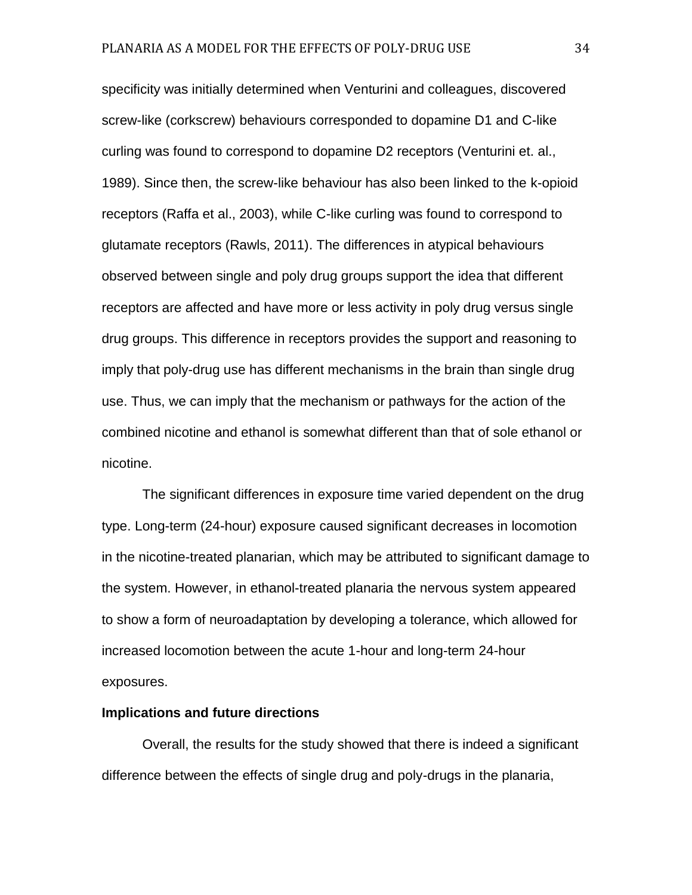specificity was initially determined when Venturini and colleagues, discovered screw-like (corkscrew) behaviours corresponded to dopamine D1 and C-like curling was found to correspond to dopamine D2 receptors (Venturini et. al., 1989). Since then, the screw-like behaviour has also been linked to the k-opioid receptors (Raffa et al., 2003), while C-like curling was found to correspond to glutamate receptors (Rawls, 2011). The differences in atypical behaviours observed between single and poly drug groups support the idea that different receptors are affected and have more or less activity in poly drug versus single drug groups. This difference in receptors provides the support and reasoning to imply that poly-drug use has different mechanisms in the brain than single drug use. Thus, we can imply that the mechanism or pathways for the action of the combined nicotine and ethanol is somewhat different than that of sole ethanol or nicotine.

The significant differences in exposure time varied dependent on the drug type. Long-term (24-hour) exposure caused significant decreases in locomotion in the nicotine-treated planarian, which may be attributed to significant damage to the system. However, in ethanol-treated planaria the nervous system appeared to show a form of neuroadaptation by developing a tolerance, which allowed for increased locomotion between the acute 1-hour and long-term 24-hour exposures.

# **Implications and future directions**

Overall, the results for the study showed that there is indeed a significant difference between the effects of single drug and poly-drugs in the planaria,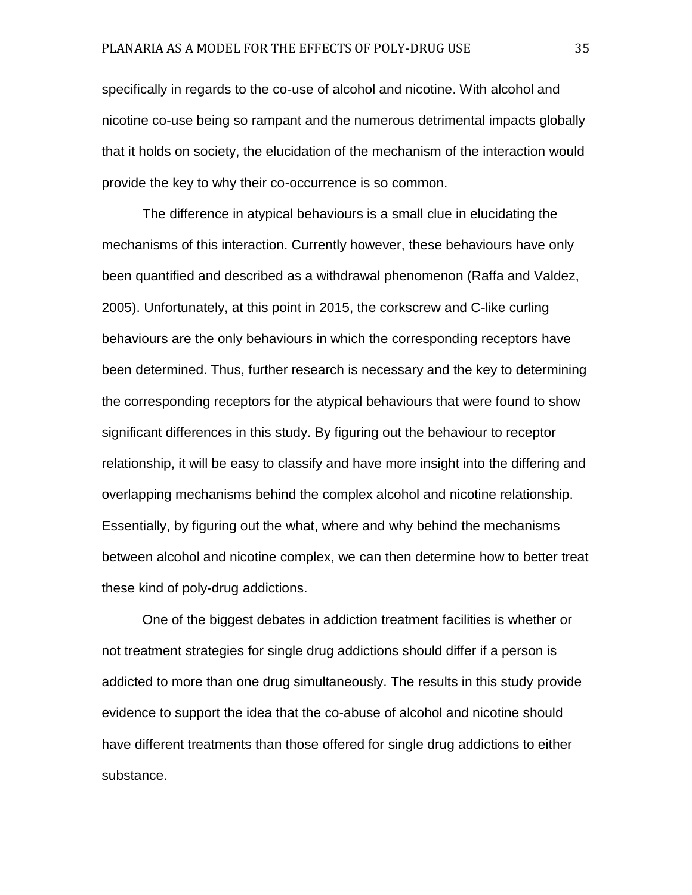specifically in regards to the co-use of alcohol and nicotine. With alcohol and nicotine co-use being so rampant and the numerous detrimental impacts globally that it holds on society, the elucidation of the mechanism of the interaction would provide the key to why their co-occurrence is so common.

The difference in atypical behaviours is a small clue in elucidating the mechanisms of this interaction. Currently however, these behaviours have only been quantified and described as a withdrawal phenomenon (Raffa and Valdez, 2005). Unfortunately, at this point in 2015, the corkscrew and C-like curling behaviours are the only behaviours in which the corresponding receptors have been determined. Thus, further research is necessary and the key to determining the corresponding receptors for the atypical behaviours that were found to show significant differences in this study. By figuring out the behaviour to receptor relationship, it will be easy to classify and have more insight into the differing and overlapping mechanisms behind the complex alcohol and nicotine relationship. Essentially, by figuring out the what, where and why behind the mechanisms between alcohol and nicotine complex, we can then determine how to better treat these kind of poly-drug addictions.

One of the biggest debates in addiction treatment facilities is whether or not treatment strategies for single drug addictions should differ if a person is addicted to more than one drug simultaneously. The results in this study provide evidence to support the idea that the co-abuse of alcohol and nicotine should have different treatments than those offered for single drug addictions to either substance.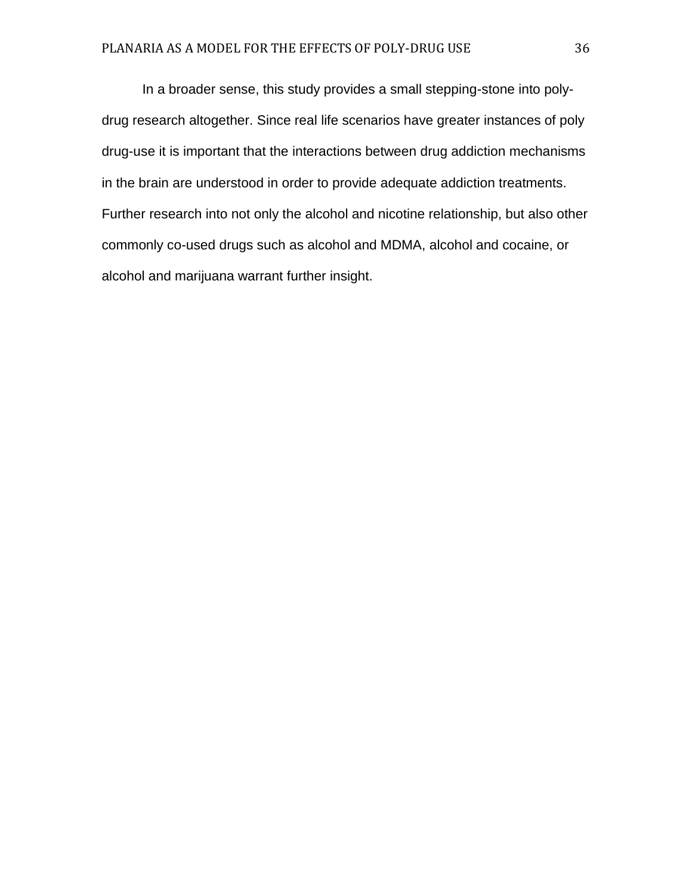In a broader sense, this study provides a small stepping-stone into polydrug research altogether. Since real life scenarios have greater instances of poly drug-use it is important that the interactions between drug addiction mechanisms in the brain are understood in order to provide adequate addiction treatments. Further research into not only the alcohol and nicotine relationship, but also other commonly co-used drugs such as alcohol and MDMA, alcohol and cocaine, or alcohol and marijuana warrant further insight.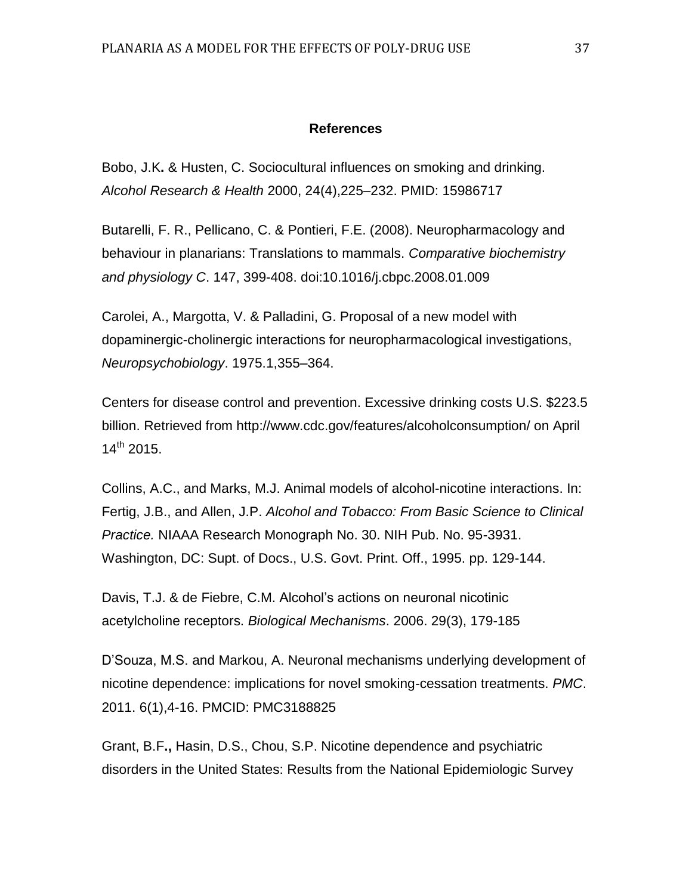# **References**

Bobo, J.K**.** & Husten, C. Sociocultural influences on smoking and drinking. *Alcohol Research & Health* 2000, 24(4),225–232. [PMID: 15986717](http://www.ncbi.nlm.nih.gov/entrez/query.fcgi?db=PubMed&cmd=search&term=15986717)

Butarelli, F. R., Pellicano, C. & Pontieri, F.E. (2008). Neuropharmacology and behaviour in planarians: Translations to mammals. *Comparative biochemistry and physiology C*. 147, 399-408. doi:10.1016/j.cbpc.2008.01.009

Carolei, A., Margotta, V. & Palladini, G. Proposal of a new model with dopaminergic-cholinergic interactions for neuropharmacological investigations, *Neuropsychobiology*. 1975.1,355–364.

Centers for disease control and prevention. Excessive drinking costs U.S. \$223.5 billion. Retrieved from http://www.cdc.gov/features/alcoholconsumption/ on April  $14^{th}$  2015.

Collins, A.C., and Marks, M.J. Animal models of alcohol-nicotine interactions. In: Fertig, J.B., and Allen, J.P. *Alcohol and Tobacco: From Basic Science to Clinical Practice.* NIAAA Research Monograph No. 30. NIH Pub. No. 95-3931. Washington, DC: Supt. of Docs., U.S. Govt. Print. Off., 1995. pp. 129-144.

Davis, T.J. & de Fiebre, C.M. Alcohol's actions on neuronal nicotinic acetylcholine receptors. *Biological Mechanisms*. 2006. 29(3), 179-185

D'Souza, M.S. and Markou, A. Neuronal mechanisms underlying development of nicotine dependence: implications for novel smoking-cessation treatments. *PMC*. 2011. 6(1),4-16. PMCID: PMC3188825

Grant, B.F**.,** Hasin, D.S., Chou, S.P. Nicotine dependence and psychiatric disorders in the United States: Results from the National Epidemiologic Survey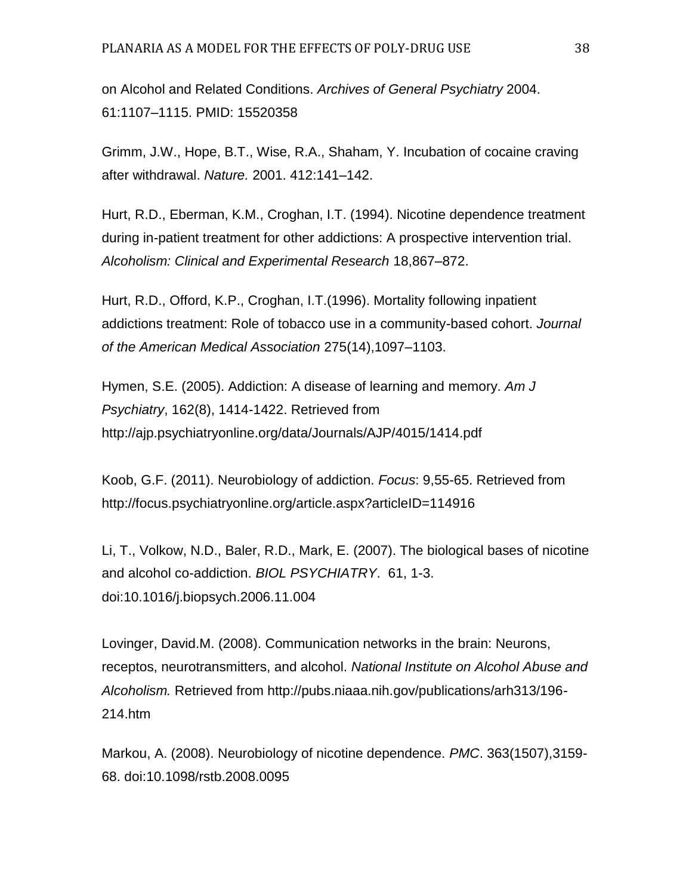on Alcohol and Related Conditions. *Archives of General Psychiatry* 2004. 61:1107–1115. [PMID: 15520358](http://www.ncbi.nlm.nih.gov/entrez/query.fcgi?db=PubMed&cmd=search&term=15520358)

Grimm, J.W., Hope, B.T., Wise, R.A., Shaham, Y. Incubation of cocaine craving after withdrawal. *Nature.* 2001. 412:141–142.

Hurt, R.D., Eberman, K.M., Croghan, I.T. (1994). Nicotine dependence treatment during in-patient treatment for other addictions: A prospective intervention trial. *Alcoholism: Clinical and Experimental Research* 18,867–872.

Hurt, R.D., Offord, K.P., Croghan, I.T.(1996). Mortality following inpatient addictions treatment: Role of tobacco use in a community-based cohort. *Journal of the American Medical Association* 275(14),1097–1103.

Hymen, S.E. (2005). Addiction: A disease of learning and memory. *Am J Psychiatry*, 162(8), 1414-1422. Retrieved from <http://ajp.psychiatryonline.org/data/Journals/AJP/4015/1414.pdf>

Koob, G.F. (2011). Neurobiology of addiction. *Focus*: 9,55-65. Retrieved from <http://focus.psychiatryonline.org/article.aspx?articleID=114916>

Li, T., Volkow, N.D., Baler, R.D., Mark, E. (2007). The biological bases of nicotine and alcohol co-addiction. *BIOL PSYCHIATRY*. 61, 1-3. doi:10.1016/j.biopsych.2006.11.004

Lovinger, David.M. (2008). Communication networks in the brain: Neurons, receptos, neurotransmitters, and alcohol. *National Institute on Alcohol Abuse and Alcoholism.* Retrieved from http://pubs.niaaa.nih.gov/publications/arh313/196- 214.htm

Markou, A. (2008). Neurobiology of nicotine dependence. *PMC*. 363(1507),3159- 68. doi:10.1098/rstb.2008.0095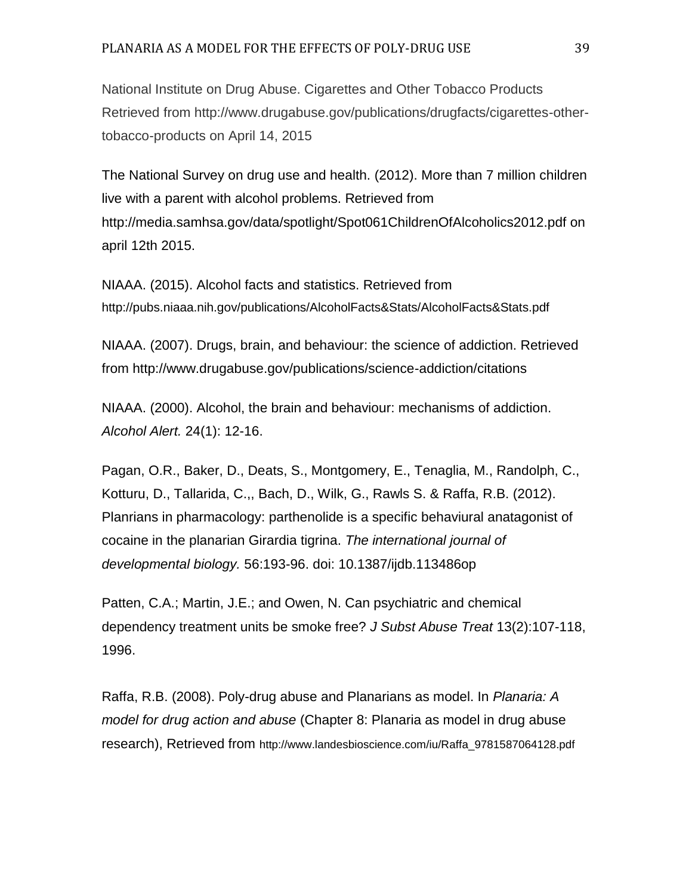# PLANARIA AS A MODEL FOR THE EFFECTS OF POLY-DRUG USE 39

National Institute on Drug Abuse. Cigarettes and Other Tobacco Products Retrieved from http://www.drugabuse.gov/publications/drugfacts/cigarettes-othertobacco-products on April 14, 2015

The National Survey on drug use and health. (2012). More than 7 million children live with a parent with alcohol problems. Retrieved from http://media.samhsa.gov/data/spotlight/Spot061ChildrenOfAlcoholics2012.pdf on april 12th 2015.

NIAAA. (2015). Alcohol facts and statistics. Retrieved from http://pubs.niaaa.nih.gov/publications/AlcoholFacts&Stats/AlcoholFacts&Stats.pdf

NIAAA. (2007). Drugs, brain, and behaviour: the science of addiction. Retrieved from http://www.drugabuse.gov/publications/science-addiction/citations

NIAAA. (2000). Alcohol, the brain and behaviour: mechanisms of addiction. *Alcohol Alert.* 24(1): 12-16.

Pagan, O.R., Baker, D., Deats, S., Montgomery, E., Tenaglia, M., Randolph, C., Kotturu, D., Tallarida, C.,, Bach, D., Wilk, G., Rawls S. & Raffa, R.B. (2012). Planrians in pharmacology: parthenolide is a specific behaviural anatagonist of cocaine in the planarian Girardia tigrina. *The international journal of developmental biology.* 56:193-96. doi: 10.1387/ijdb.113486op

Patten, C.A.; Martin, J.E.; and Owen, N. Can psychiatric and chemical dependency treatment units be smoke free? *J Subst Abuse Treat* 13(2):107-118, 1996.

Raffa, R.B. (2008). Poly-drug abuse and Planarians as model. In *Planaria: A model for drug action and abuse* (Chapter 8: Planaria as model in drug abuse research), Retrieved from http://www.landesbioscience.com/iu/Raffa\_9781587064128.pdf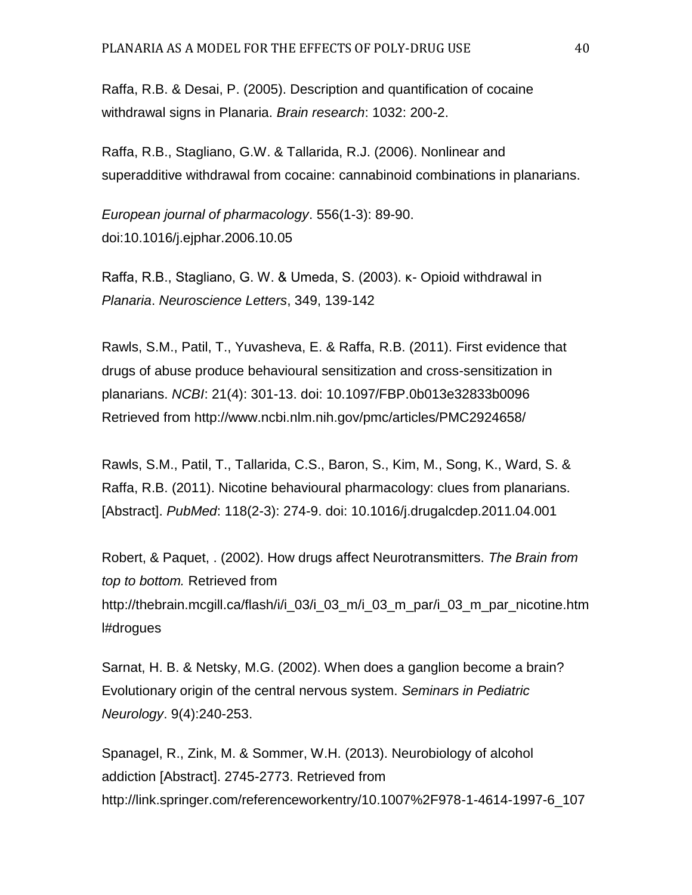Raffa, R.B. & Desai, P. (2005). Description and quantification of cocaine withdrawal signs in Planaria. *Brain research*: 1032: 200-2.

Raffa, R.B., Stagliano, G.W. & Tallarida, R.J. (2006). Nonlinear and superadditive withdrawal from cocaine: cannabinoid combinations in planarians.

*European journal of pharmacology*. 556(1-3): 89-90. doi:10.1016/j.ejphar.2006.10.05

Raffa, R.B., Stagliano, G. W. & Umeda, S. (2003). κ- Opioid withdrawal in *Planaria*. *Neuroscience Letters*, 349, 139-142

Rawls, S.M., Patil, T., Yuvasheva, E. & Raffa, R.B. (2011). First evidence that drugs of abuse produce behavioural sensitization and cross-sensitization in planarians. *NCBI*: 21(4): 301-13. doi: 10.1097/FBP.0b013e32833b0096 Retrieved from<http://www.ncbi.nlm.nih.gov/pmc/articles/PMC2924658/>

Rawls, S.M., Patil, T., Tallarida, C.S., Baron, S., Kim, M., Song, K., Ward, S. & Raffa, R.B. (2011). Nicotine behavioural pharmacology: clues from planarians. [Abstract]. *PubMed*: 118(2-3): 274-9. doi: 10.1016/j.drugalcdep.2011.04.001

Robert, & Paquet, . (2002). How drugs affect Neurotransmitters. *The Brain from top to bottom.* Retrieved from [http://thebrain.mcgill.ca/flash/i/i\\_03/i\\_03\\_m/i\\_03\\_m\\_par/i\\_03\\_m\\_par\\_nicotine.htm](http://thebrain.mcgill.ca/flash/i/i_03/i_03_m/i_03_m_par/i_03_m_par_nicotine.html#drogues) [l#drogues](http://thebrain.mcgill.ca/flash/i/i_03/i_03_m/i_03_m_par/i_03_m_par_nicotine.html#drogues)

Sarnat, H. B. & Netsky, M.G. (2002). When does a ganglion become a brain? Evolutionary origin of the central nervous system. *Seminars in Pediatric Neurology*. 9(4):240-253.

Spanagel, R., Zink, M. & Sommer, W.H. (2013). Neurobiology of alcohol addiction [Abstract]. 2745-2773. Retrieved from http://link.springer.com/referenceworkentry/10.1007%2F978-1-4614-1997-6\_107